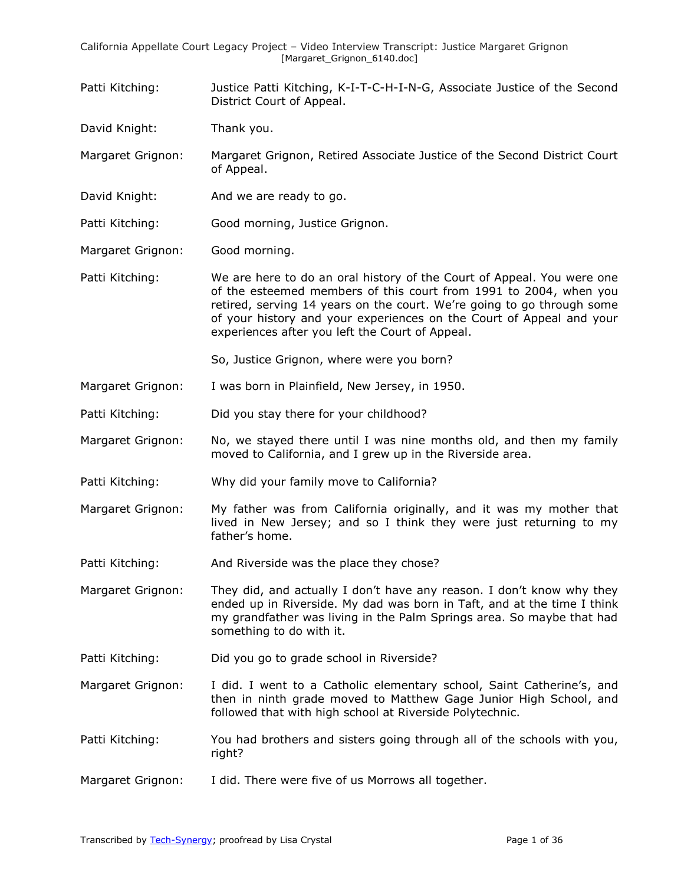Patti Kitching: Justice Patti Kitching, K-I-T-C-H-I-N-G, Associate Justice of the Second District Court of Appeal.

David Knight: Thank you.

Margaret Grignon: Margaret Grignon, Retired Associate Justice of the Second District Court of Appeal.

David Knight: And we are ready to go.

Patti Kitching: Good morning, Justice Grignon.

Margaret Grignon: Good morning.

Patti Kitching: We are here to do an oral history of the Court of Appeal. You were one of the esteemed members of this court from 1991 to 2004, when you retired, serving 14 years on the court. We're going to go through some of your history and your experiences on the Court of Appeal and your experiences after you left the Court of Appeal.

So, Justice Grignon, where were you born?

Margaret Grignon: I was born in Plainfield, New Jersey, in 1950.

Patti Kitching: Did you stay there for your childhood?

- Margaret Grignon: No, we stayed there until I was nine months old, and then my family moved to California, and I grew up in the Riverside area.
- Patti Kitching: Why did your family move to California?
- Margaret Grignon: My father was from California originally, and it was my mother that lived in New Jersey; and so I think they were just returning to my father's home.
- Patti Kitching: And Riverside was the place they chose?

Margaret Grignon: They did, and actually I don't have any reason. I don't know why they ended up in Riverside. My dad was born in Taft, and at the time I think my grandfather was living in the Palm Springs area. So maybe that had something to do with it.

- Patti Kitching: Did you go to grade school in Riverside?
- Margaret Grignon: I did. I went to a Catholic elementary school, Saint Catherine's, and then in ninth grade moved to Matthew Gage Junior High School, and followed that with high school at Riverside Polytechnic.
- Patti Kitching: You had brothers and sisters going through all of the schools with you, right?
- Margaret Grignon: I did. There were five of us Morrows all together.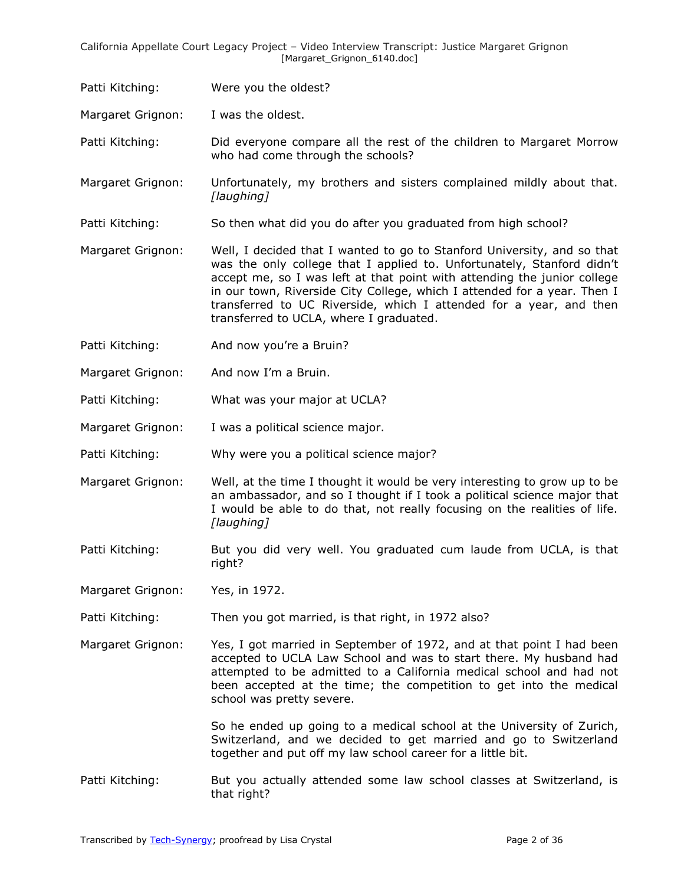Patti Kitching: Were you the oldest?

Margaret Grignon: I was the oldest.

Patti Kitching: Did everyone compare all the rest of the children to Margaret Morrow who had come through the schools?

Margaret Grignon: Unfortunately, my brothers and sisters complained mildly about that. *[laughing]* 

Patti Kitching: So then what did you do after you graduated from high school?

Margaret Grignon: Well, I decided that I wanted to go to Stanford University, and so that was the only college that I applied to. Unfortunately, Stanford didn't accept me, so I was left at that point with attending the junior college in our town, Riverside City College, which I attended for a year. Then I transferred to UC Riverside, which I attended for a year, and then transferred to UCLA, where I graduated.

- Patti Kitching: And now you're a Bruin?
- Margaret Grignon: And now I'm a Bruin.
- Patti Kitching: What was your major at UCLA?
- Margaret Grignon: I was a political science major.

Patti Kitching: Why were you a political science major?

- Margaret Grignon: Well, at the time I thought it would be very interesting to grow up to be an ambassador, and so I thought if I took a political science major that I would be able to do that, not really focusing on the realities of life. *[laughing]*
- Patti Kitching: But you did very well. You graduated cum laude from UCLA, is that right?

Margaret Grignon: Yes, in 1972.

Patti Kitching: Then you got married, is that right, in 1972 also?

Margaret Grignon: Yes, I got married in September of 1972, and at that point I had been accepted to UCLA Law School and was to start there. My husband had attempted to be admitted to a California medical school and had not been accepted at the time; the competition to get into the medical school was pretty severe.

> So he ended up going to a medical school at the University of Zurich, Switzerland, and we decided to get married and go to Switzerland together and put off my law school career for a little bit.

Patti Kitching: But you actually attended some law school classes at Switzerland, is that right?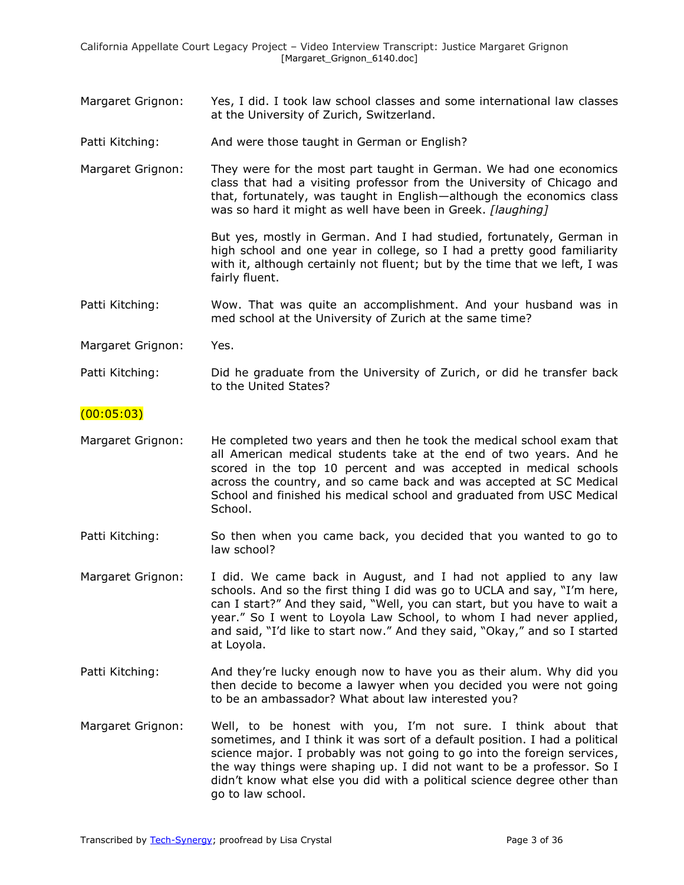- Margaret Grignon: Yes, I did. I took law school classes and some international law classes at the University of Zurich, Switzerland.
- Patti Kitching: And were those taught in German or English?
- Margaret Grignon: They were for the most part taught in German. We had one economics class that had a visiting professor from the University of Chicago and that, fortunately, was taught in English—although the economics class was so hard it might as well have been in Greek. *[laughing]*

But yes, mostly in German. And I had studied, fortunately, German in high school and one year in college, so I had a pretty good familiarity with it, although certainly not fluent; but by the time that we left, I was fairly fluent.

Patti Kitching: Wow. That was quite an accomplishment. And your husband was in med school at the University of Zurich at the same time?

Margaret Grignon: Yes.

Patti Kitching: Did he graduate from the University of Zurich, or did he transfer back to the United States?

#### $(00:05:03)$

- Margaret Grignon: He completed two years and then he took the medical school exam that all American medical students take at the end of two years. And he scored in the top 10 percent and was accepted in medical schools across the country, and so came back and was accepted at SC Medical School and finished his medical school and graduated from USC Medical School.
- Patti Kitching: So then when you came back, you decided that you wanted to go to law school?
- Margaret Grignon: I did. We came back in August, and I had not applied to any law schools. And so the first thing I did was go to UCLA and say, "I'm here, can I start?" And they said, "Well, you can start, but you have to wait a year." So I went to Loyola Law School, to whom I had never applied, and said, "I'd like to start now." And they said, "Okay," and so I started at Loyola.
- Patti Kitching: And they're lucky enough now to have you as their alum. Why did you then decide to become a lawyer when you decided you were not going to be an ambassador? What about law interested you?
- Margaret Grignon: Well, to be honest with you, I'm not sure. I think about that sometimes, and I think it was sort of a default position. I had a political science major. I probably was not going to go into the foreign services, the way things were shaping up. I did not want to be a professor. So I didn't know what else you did with a political science degree other than go to law school.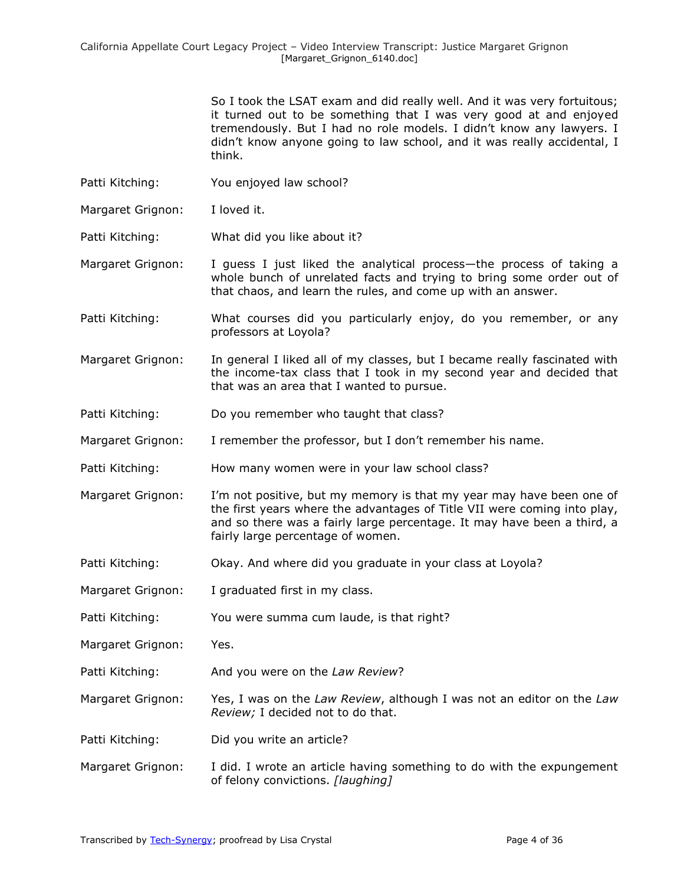So I took the LSAT exam and did really well. And it was very fortuitous; it turned out to be something that I was very good at and enjoyed tremendously. But I had no role models. I didn't know any lawyers. I didn't know anyone going to law school, and it was really accidental, I think.

- Patti Kitching: You enjoyed law school?
- Margaret Grignon: I loved it.
- Patti Kitching: What did you like about it?
- Margaret Grignon: I guess I just liked the analytical process—the process of taking a whole bunch of unrelated facts and trying to bring some order out of that chaos, and learn the rules, and come up with an answer.
- Patti Kitching: What courses did you particularly enjoy, do you remember, or any professors at Loyola?
- Margaret Grignon: In general I liked all of my classes, but I became really fascinated with the income-tax class that I took in my second year and decided that that was an area that I wanted to pursue.
- Patti Kitching: Do you remember who taught that class?
- Margaret Grignon: I remember the professor, but I don't remember his name.
- Patti Kitching: How many women were in your law school class?
- Margaret Grignon: I'm not positive, but my memory is that my year may have been one of the first years where the advantages of Title VII were coming into play, and so there was a fairly large percentage. It may have been a third, a fairly large percentage of women.
- Patti Kitching: Okay. And where did you graduate in your class at Loyola?
- Margaret Grignon: I graduated first in my class.
- Patti Kitching: You were summa cum laude, is that right?
- Margaret Grignon: Yes.
- Patti Kitching: And you were on the *Law Review*?
- Margaret Grignon: Yes, I was on the *Law Review*, although I was not an editor on the *Law Review;* I decided not to do that.
- Patti Kitching: Did you write an article?
- Margaret Grignon: I did. I wrote an article having something to do with the expungement of felony convictions. *[laughing]*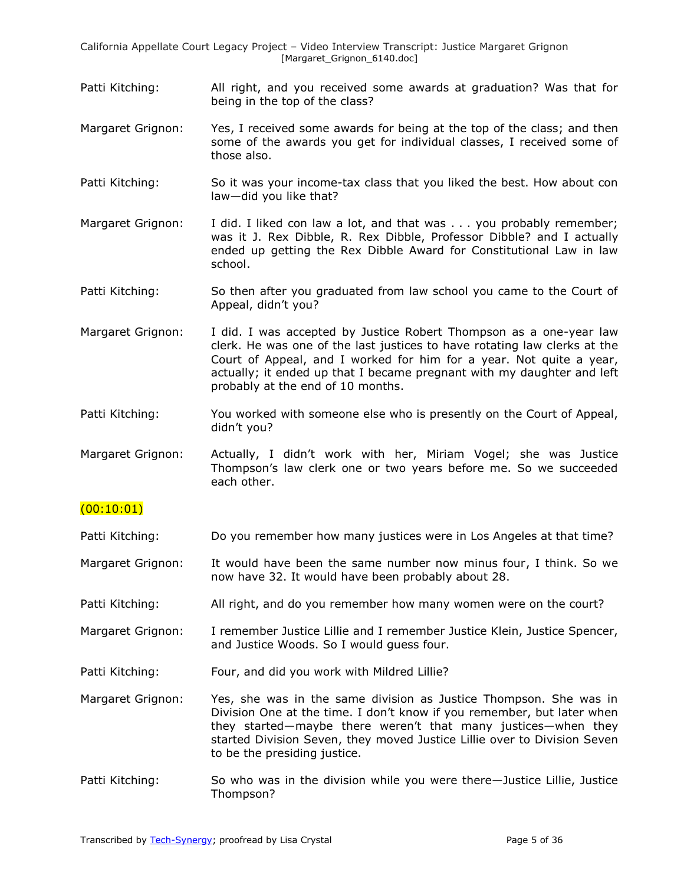- Patti Kitching: All right, and you received some awards at graduation? Was that for being in the top of the class?
- Margaret Grignon: Yes, I received some awards for being at the top of the class; and then some of the awards you get for individual classes, I received some of those also.
- Patti Kitching: So it was your income-tax class that you liked the best. How about con law—did you like that?
- Margaret Grignon: I did. I liked con law a lot, and that was . . . you probably remember; was it J. Rex Dibble, R. Rex Dibble, Professor Dibble? and I actually ended up getting the Rex Dibble Award for Constitutional Law in law school.
- Patti Kitching: So then after you graduated from law school you came to the Court of Appeal, didn't you?
- Margaret Grignon: I did. I was accepted by Justice Robert Thompson as a one-year law clerk. He was one of the last justices to have rotating law clerks at the Court of Appeal, and I worked for him for a year. Not quite a year, actually; it ended up that I became pregnant with my daughter and left probably at the end of 10 months.
- Patti Kitching: You worked with someone else who is presently on the Court of Appeal, didn't you?

Margaret Grignon: Actually, I didn't work with her, Miriam Vogel; she was Justice Thompson's law clerk one or two years before me. So we succeeded each other.

## (00:10:01)

- Patti Kitching: Do you remember how many justices were in Los Angeles at that time?
- Margaret Grignon: It would have been the same number now minus four, I think. So we now have 32. It would have been probably about 28.
- Patti Kitching: All right, and do you remember how many women were on the court?
- Margaret Grignon: I remember Justice Lillie and I remember Justice Klein, Justice Spencer, and Justice Woods. So I would guess four.
- Patti Kitching: Four, and did you work with Mildred Lillie?
- Margaret Grignon: Yes, she was in the same division as Justice Thompson. She was in Division One at the time. I don't know if you remember, but later when they started—maybe there weren't that many justices—when they started Division Seven, they moved Justice Lillie over to Division Seven to be the presiding justice.
- Patti Kitching: So who was in the division while you were there—Justice Lillie, Justice Thompson?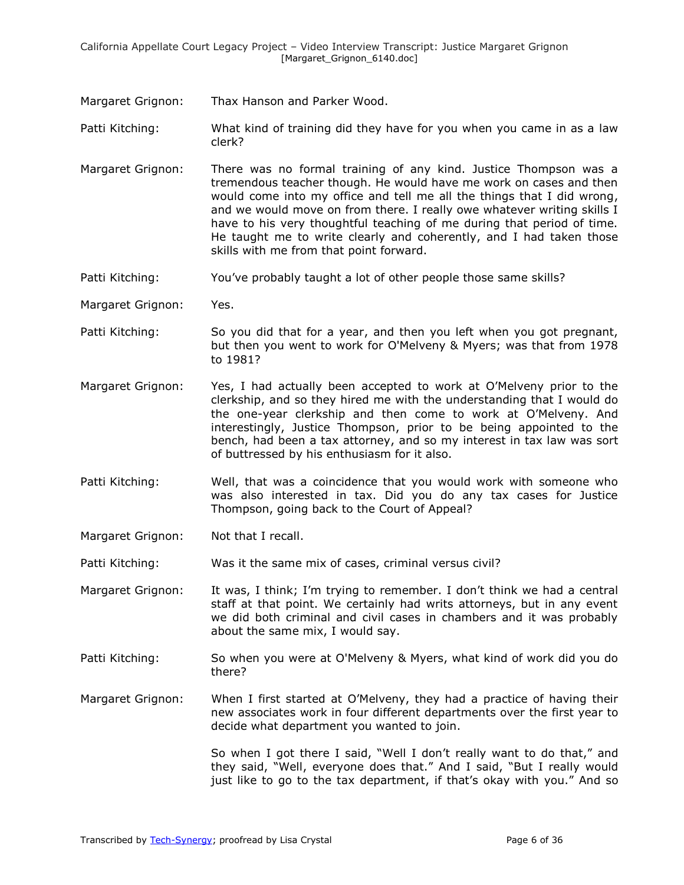Margaret Grignon: Thax Hanson and Parker Wood.

Patti Kitching: What kind of training did they have for you when you came in as a law clerk?

- Margaret Grignon: There was no formal training of any kind. Justice Thompson was a tremendous teacher though. He would have me work on cases and then would come into my office and tell me all the things that I did wrong, and we would move on from there. I really owe whatever writing skills I have to his very thoughtful teaching of me during that period of time. He taught me to write clearly and coherently, and I had taken those skills with me from that point forward.
- Patti Kitching: You've probably taught a lot of other people those same skills?

Margaret Grignon: Yes.

- Patti Kitching: So you did that for a year, and then you left when you got pregnant, but then you went to work for O'Melveny & Myers; was that from 1978 to 1981?
- Margaret Grignon: Yes, I had actually been accepted to work at O'Melveny prior to the clerkship, and so they hired me with the understanding that I would do the one-year clerkship and then come to work at O'Melveny. And interestingly, Justice Thompson, prior to be being appointed to the bench, had been a tax attorney, and so my interest in tax law was sort of buttressed by his enthusiasm for it also.
- Patti Kitching: Well, that was a coincidence that you would work with someone who was also interested in tax. Did you do any tax cases for Justice Thompson, going back to the Court of Appeal?

Margaret Grignon: Not that I recall.

Patti Kitching: Was it the same mix of cases, criminal versus civil?

Margaret Grignon: It was, I think; I'm trying to remember. I don't think we had a central staff at that point. We certainly had writs attorneys, but in any event we did both criminal and civil cases in chambers and it was probably about the same mix, I would say.

Patti Kitching: So when you were at O'Melveny & Myers, what kind of work did you do there?

Margaret Grignon: When I first started at O'Melveny, they had a practice of having their new associates work in four different departments over the first year to decide what department you wanted to join.

> So when I got there I said, "Well I don't really want to do that," and they said, "Well, everyone does that." And I said, "But I really would just like to go to the tax department, if that's okay with you." And so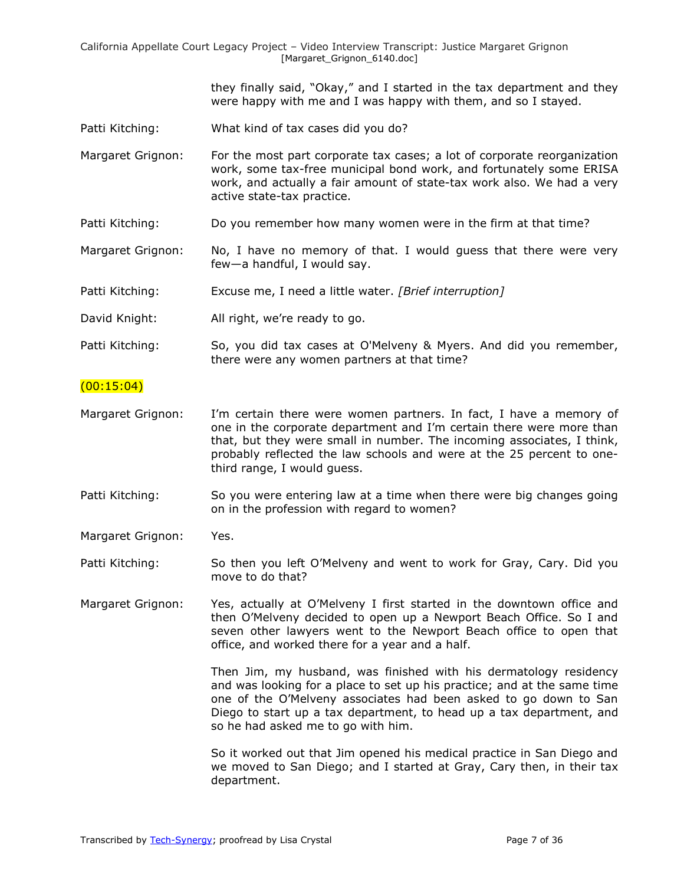> they finally said, "Okay," and I started in the tax department and they were happy with me and I was happy with them, and so I stayed.

- Patti Kitching: What kind of tax cases did you do?
- Margaret Grignon: For the most part corporate tax cases; a lot of corporate reorganization work, some tax-free municipal bond work, and fortunately some ERISA work, and actually a fair amount of state-tax work also. We had a very active state-tax practice.
- Patti Kitching: Do you remember how many women were in the firm at that time?
- Margaret Grignon: No, I have no memory of that. I would guess that there were very few—a handful, I would say.
- Patti Kitching: Excuse me, I need a little water. *[Brief interruption]*
- David Knight: All right, we're ready to go.
- Patti Kitching: So, you did tax cases at O'Melveny & Myers. And did you remember, there were any women partners at that time?

#### $(00:15:04)$

- Margaret Grignon: I'm certain there were women partners. In fact, I have a memory of one in the corporate department and I'm certain there were more than that, but they were small in number. The incoming associates, I think, probably reflected the law schools and were at the 25 percent to onethird range, I would guess.
- Patti Kitching: So you were entering law at a time when there were big changes going on in the profession with regard to women?

Margaret Grignon: Yes.

- Patti Kitching: So then you left O'Melveny and went to work for Gray, Cary. Did you move to do that?
- Margaret Grignon: Yes, actually at O'Melveny I first started in the downtown office and then O'Melveny decided to open up a Newport Beach Office. So I and seven other lawyers went to the Newport Beach office to open that office, and worked there for a year and a half.

Then Jim, my husband, was finished with his dermatology residency and was looking for a place to set up his practice; and at the same time one of the O'Melveny associates had been asked to go down to San Diego to start up a tax department, to head up a tax department, and so he had asked me to go with him.

So it worked out that Jim opened his medical practice in San Diego and we moved to San Diego; and I started at Gray, Cary then, in their tax department.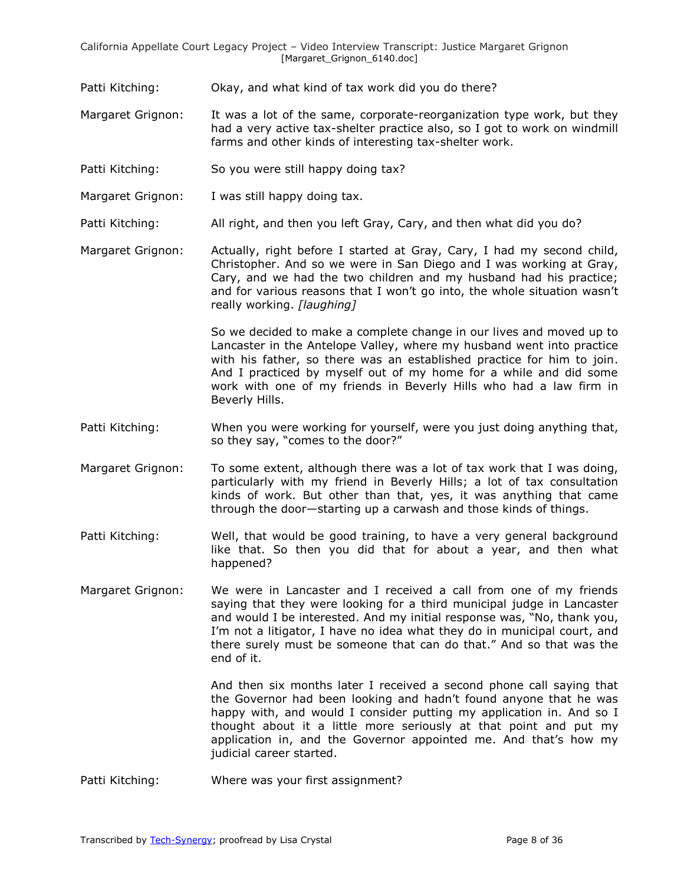- Patti Kitching: Okay, and what kind of tax work did you do there?
- Margaret Grignon: It was a lot of the same, corporate-reorganization type work, but they had a very active tax-shelter practice also, so I got to work on windmill farms and other kinds of interesting tax-shelter work.
- Patti Kitching: So you were still happy doing tax?
- Margaret Grignon: I was still happy doing tax.
- Patti Kitching: All right, and then you left Gray, Cary, and then what did you do?
- Margaret Grignon: Actually, right before I started at Gray, Cary, I had my second child, Christopher. And so we were in San Diego and I was working at Gray, Cary, and we had the two children and my husband had his practice; and for various reasons that I won't go into, the whole situation wasn't really working. *[laughing]*

So we decided to make a complete change in our lives and moved up to Lancaster in the Antelope Valley, where my husband went into practice with his father, so there was an established practice for him to join. And I practiced by myself out of my home for a while and did some work with one of my friends in Beverly Hills who had a law firm in Beverly Hills.

- Patti Kitching: When you were working for yourself, were you just doing anything that, so they say, "comes to the door?"
- Margaret Grignon: To some extent, although there was a lot of tax work that I was doing, particularly with my friend in Beverly Hills; a lot of tax consultation kinds of work. But other than that, yes, it was anything that came through the door—starting up a carwash and those kinds of things.
- Patti Kitching: Well, that would be good training, to have a very general background like that. So then you did that for about a year, and then what happened?
- Margaret Grignon: We were in Lancaster and I received a call from one of my friends saying that they were looking for a third municipal judge in Lancaster and would I be interested. And my initial response was, "No, thank you, I'm not a litigator, I have no idea what they do in municipal court, and there surely must be someone that can do that." And so that was the end of it.

And then six months later I received a second phone call saying that the Governor had been looking and hadn't found anyone that he was happy with, and would I consider putting my application in. And so I thought about it a little more seriously at that point and put my application in, and the Governor appointed me. And that's how my judicial career started.

Patti Kitching: Where was your first assignment?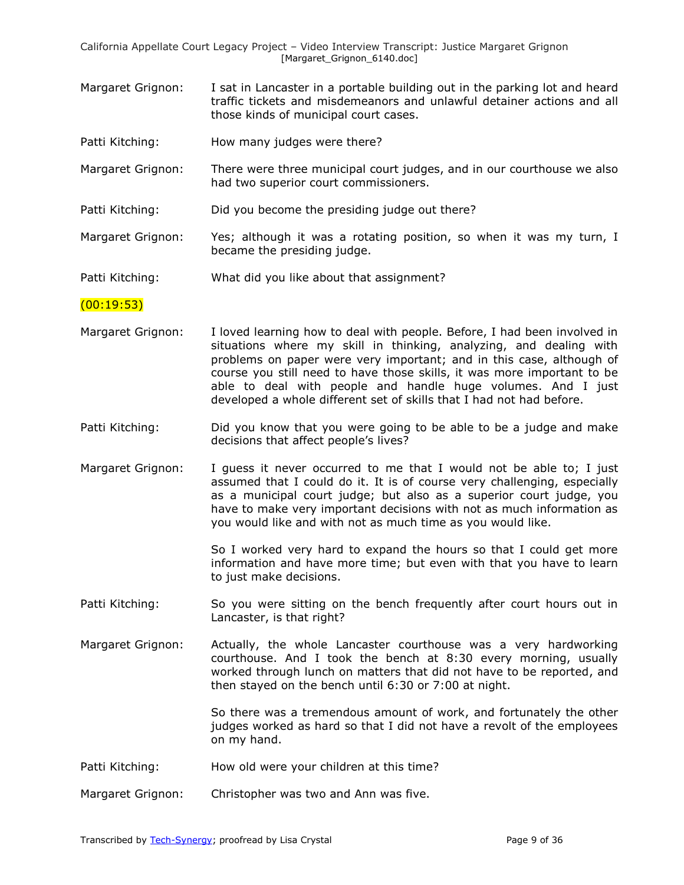- Margaret Grignon: I sat in Lancaster in a portable building out in the parking lot and heard traffic tickets and misdemeanors and unlawful detainer actions and all those kinds of municipal court cases.
- Patti Kitching: How many judges were there?
- Margaret Grignon: There were three municipal court judges, and in our courthouse we also had two superior court commissioners.
- Patti Kitching: Did you become the presiding judge out there?
- Margaret Grignon: Yes; although it was a rotating position, so when it was my turn, I became the presiding judge.
- Patti Kitching: What did you like about that assignment?

#### $(00:19:53)$

- Margaret Grignon: I loved learning how to deal with people. Before, I had been involved in situations where my skill in thinking, analyzing, and dealing with problems on paper were very important; and in this case, although of course you still need to have those skills, it was more important to be able to deal with people and handle huge volumes. And I just developed a whole different set of skills that I had not had before.
- Patti Kitching: Did you know that you were going to be able to be a judge and make decisions that affect people's lives?
- Margaret Grignon: I guess it never occurred to me that I would not be able to; I just assumed that I could do it. It is of course very challenging, especially as a municipal court judge; but also as a superior court judge, you have to make very important decisions with not as much information as you would like and with not as much time as you would like.

So I worked very hard to expand the hours so that I could get more information and have more time; but even with that you have to learn to just make decisions.

- Patti Kitching: So you were sitting on the bench frequently after court hours out in Lancaster, is that right?
- Margaret Grignon: Actually, the whole Lancaster courthouse was a very hardworking courthouse. And I took the bench at 8:30 every morning, usually worked through lunch on matters that did not have to be reported, and then stayed on the bench until 6:30 or 7:00 at night.

So there was a tremendous amount of work, and fortunately the other judges worked as hard so that I did not have a revolt of the employees on my hand.

- Patti Kitching: How old were your children at this time?
- Margaret Grignon: Christopher was two and Ann was five.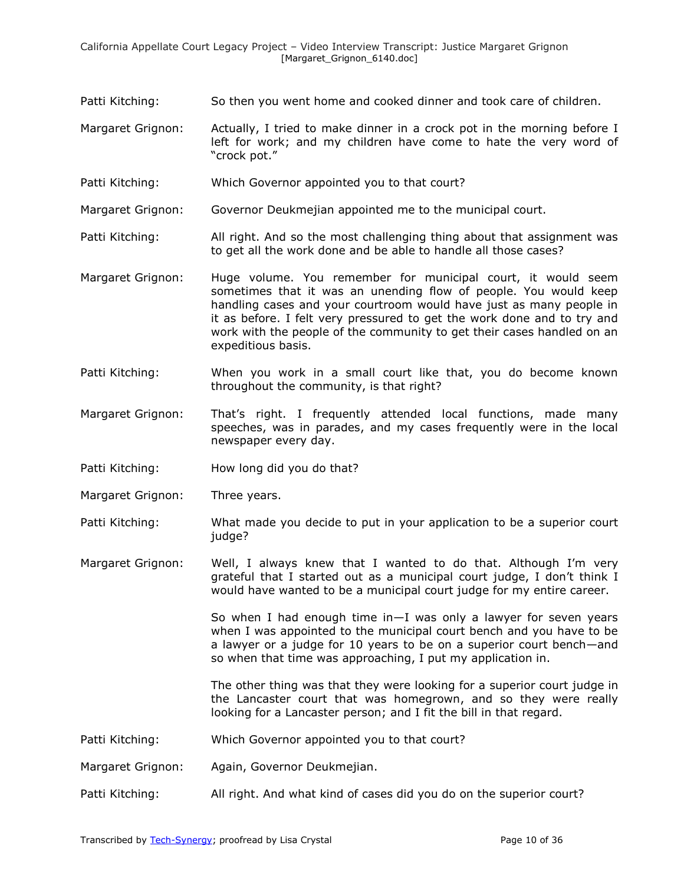- Patti Kitching: So then you went home and cooked dinner and took care of children.
- Margaret Grignon: Actually, I tried to make dinner in a crock pot in the morning before I left for work; and my children have come to hate the very word of "crock pot."
- Patti Kitching: Which Governor appointed you to that court?
- Margaret Grignon: Governor Deukmejian appointed me to the municipal court.
- Patti Kitching: All right. And so the most challenging thing about that assignment was to get all the work done and be able to handle all those cases?
- Margaret Grignon: Huge volume. You remember for municipal court, it would seem sometimes that it was an unending flow of people. You would keep handling cases and your courtroom would have just as many people in it as before. I felt very pressured to get the work done and to try and work with the people of the community to get their cases handled on an expeditious basis.
- Patti Kitching: When you work in a small court like that, you do become known throughout the community, is that right?
- Margaret Grignon: That's right. I frequently attended local functions, made many speeches, was in parades, and my cases frequently were in the local newspaper every day.
- Patti Kitching: How long did you do that?
- Margaret Grignon: Three years.
- Patti Kitching: What made you decide to put in your application to be a superior court judge?
- Margaret Grignon: Well, I always knew that I wanted to do that. Although I'm very grateful that I started out as a municipal court judge, I don't think I would have wanted to be a municipal court judge for my entire career.

So when I had enough time  $in-1$  was only a lawyer for seven years when I was appointed to the municipal court bench and you have to be a lawyer or a judge for 10 years to be on a superior court bench—and so when that time was approaching, I put my application in.

The other thing was that they were looking for a superior court judge in the Lancaster court that was homegrown, and so they were really looking for a Lancaster person; and I fit the bill in that regard.

- Patti Kitching: Which Governor appointed you to that court?
- Margaret Grignon: Again, Governor Deukmejian.
- Patti Kitching: All right. And what kind of cases did you do on the superior court?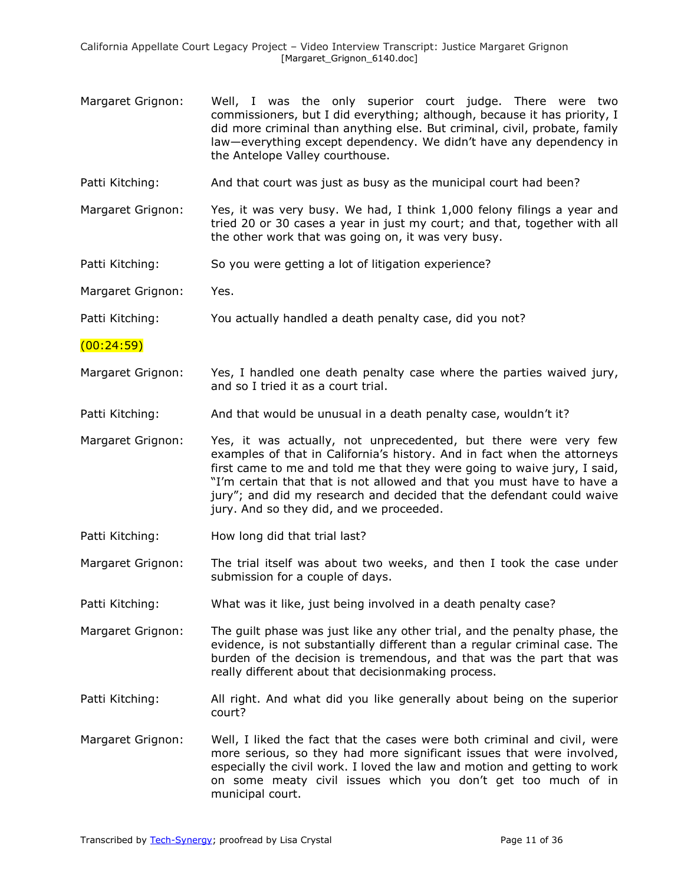- Margaret Grignon: Well, I was the only superior court judge. There were two commissioners, but I did everything; although, because it has priority, I did more criminal than anything else. But criminal, civil, probate, family law—everything except dependency. We didn't have any dependency in the Antelope Valley courthouse.
- Patti Kitching: And that court was just as busy as the municipal court had been?
- Margaret Grignon: Yes, it was very busy. We had, I think 1,000 felony filings a year and tried 20 or 30 cases a year in just my court; and that, together with all the other work that was going on, it was very busy.
- Patti Kitching: So you were getting a lot of litigation experience?

Margaret Grignon: Yes.

Patti Kitching: You actually handled a death penalty case, did you not?

(00:24:59)

- Margaret Grignon: Yes, I handled one death penalty case where the parties waived jury, and so I tried it as a court trial.
- Patti Kitching: And that would be unusual in a death penalty case, wouldn't it?
- Margaret Grignon: Yes, it was actually, not unprecedented, but there were very few examples of that in California's history. And in fact when the attorneys first came to me and told me that they were going to waive jury, I said, "I'm certain that that is not allowed and that you must have to have a jury"; and did my research and decided that the defendant could waive jury. And so they did, and we proceeded.
- Patti Kitching: How long did that trial last?
- Margaret Grignon: The trial itself was about two weeks, and then I took the case under submission for a couple of days.
- Patti Kitching: What was it like, just being involved in a death penalty case?
- Margaret Grignon: The guilt phase was just like any other trial, and the penalty phase, the evidence, is not substantially different than a regular criminal case. The burden of the decision is tremendous, and that was the part that was really different about that decisionmaking process.
- Patti Kitching: All right. And what did you like generally about being on the superior court?
- Margaret Grignon: Well, I liked the fact that the cases were both criminal and civil, were more serious, so they had more significant issues that were involved, especially the civil work. I loved the law and motion and getting to work on some meaty civil issues which you don't get too much of in municipal court.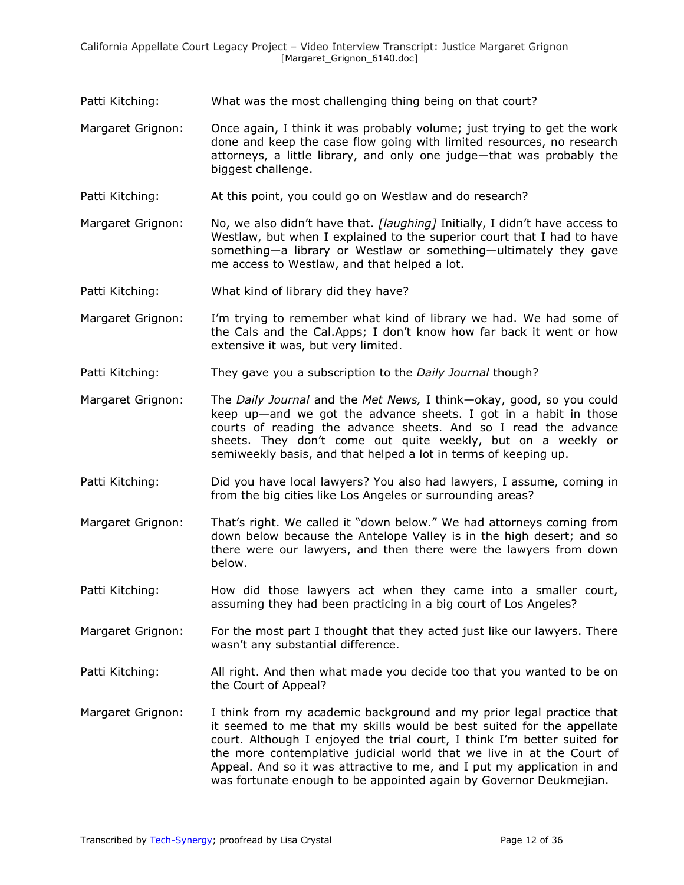- Patti Kitching: What was the most challenging thing being on that court?
- Margaret Grignon: Once again, I think it was probably volume; just trying to get the work done and keep the case flow going with limited resources, no research attorneys, a little library, and only one judge—that was probably the biggest challenge.
- Patti Kitching: At this point, you could go on Westlaw and do research?
- Margaret Grignon: No, we also didn't have that. *[laughing]* Initially, I didn't have access to Westlaw, but when I explained to the superior court that I had to have something—a library or Westlaw or something—ultimately they gave me access to Westlaw, and that helped a lot.
- Patti Kitching: What kind of library did they have?
- Margaret Grignon: I'm trying to remember what kind of library we had. We had some of the Cals and the Cal.Apps; I don't know how far back it went or how extensive it was, but very limited.
- Patti Kitching: They gave you a subscription to the *Daily Journal* though?
- Margaret Grignon: The *Daily Journal* and the *Met News,* I think—okay, good, so you could keep up—and we got the advance sheets. I got in a habit in those courts of reading the advance sheets. And so I read the advance sheets. They don't come out quite weekly, but on a weekly or semiweekly basis, and that helped a lot in terms of keeping up.
- Patti Kitching: Did you have local lawyers? You also had lawyers, I assume, coming in from the big cities like Los Angeles or surrounding areas?
- Margaret Grignon: That's right. We called it "down below." We had attorneys coming from down below because the Antelope Valley is in the high desert; and so there were our lawyers, and then there were the lawyers from down below.
- Patti Kitching: How did those lawyers act when they came into a smaller court, assuming they had been practicing in a big court of Los Angeles?
- Margaret Grignon: For the most part I thought that they acted just like our lawyers. There wasn't any substantial difference.
- Patti Kitching: All right. And then what made you decide too that you wanted to be on the Court of Appeal?
- Margaret Grignon: I think from my academic background and my prior legal practice that it seemed to me that my skills would be best suited for the appellate court. Although I enjoyed the trial court, I think I'm better suited for the more contemplative judicial world that we live in at the Court of Appeal. And so it was attractive to me, and I put my application in and was fortunate enough to be appointed again by Governor Deukmejian.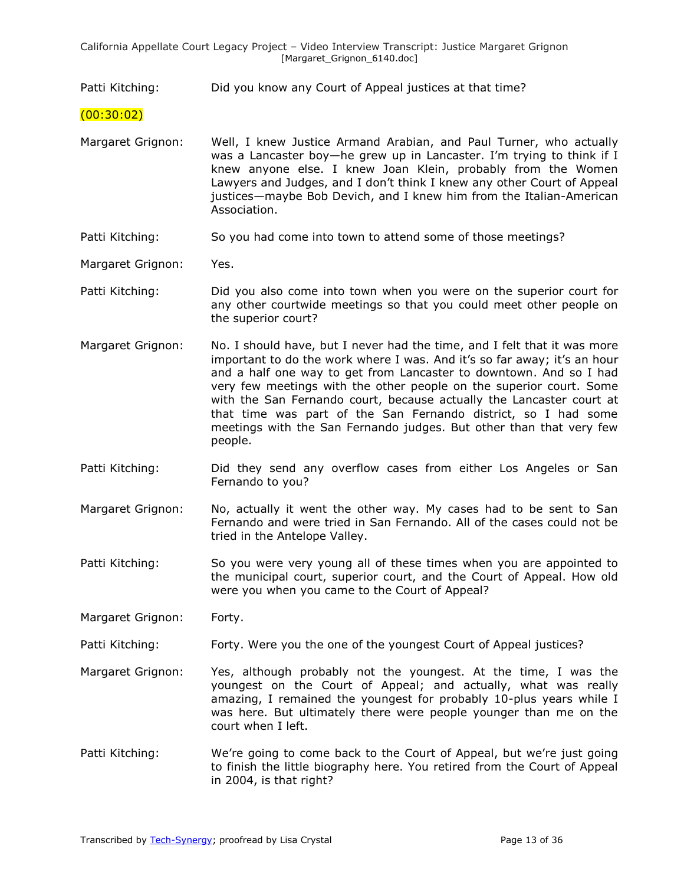Patti Kitching: Did you know any Court of Appeal justices at that time?

- (00:30:02)
- Margaret Grignon: Well, I knew Justice Armand Arabian, and Paul Turner, who actually was a Lancaster boy-he grew up in Lancaster. I'm trying to think if I knew anyone else. I knew Joan Klein, probably from the Women Lawyers and Judges, and I don't think I knew any other Court of Appeal justices—maybe Bob Devich, and I knew him from the Italian-American Association.
- Patti Kitching: So you had come into town to attend some of those meetings?
- Margaret Grignon: Yes.
- Patti Kitching: Did you also come into town when you were on the superior court for any other courtwide meetings so that you could meet other people on the superior court?
- Margaret Grignon: No. I should have, but I never had the time, and I felt that it was more important to do the work where I was. And it's so far away; it's an hour and a half one way to get from Lancaster to downtown. And so I had very few meetings with the other people on the superior court. Some with the San Fernando court, because actually the Lancaster court at that time was part of the San Fernando district, so I had some meetings with the San Fernando judges. But other than that very few people.
- Patti Kitching: Did they send any overflow cases from either Los Angeles or San Fernando to you?
- Margaret Grignon: No, actually it went the other way. My cases had to be sent to San Fernando and were tried in San Fernando. All of the cases could not be tried in the Antelope Valley.
- Patti Kitching: So you were very young all of these times when you are appointed to the municipal court, superior court, and the Court of Appeal. How old were you when you came to the Court of Appeal?
- Margaret Grignon: Forty.
- Patti Kitching: Forty. Were you the one of the youngest Court of Appeal justices?
- Margaret Grignon: Yes, although probably not the youngest. At the time, I was the youngest on the Court of Appeal; and actually, what was really amazing, I remained the youngest for probably 10-plus years while I was here. But ultimately there were people younger than me on the court when I left.
- Patti Kitching: We're going to come back to the Court of Appeal, but we're just going to finish the little biography here. You retired from the Court of Appeal in 2004, is that right?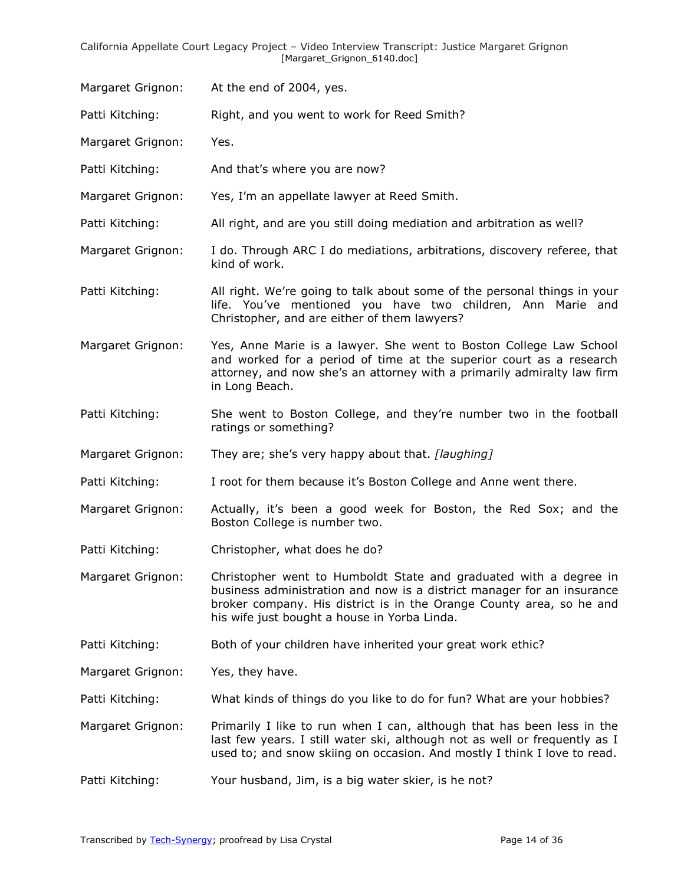Margaret Grignon: At the end of 2004, yes.

Patti Kitching: Right, and you went to work for Reed Smith?

Margaret Grignon: Yes.

Patti Kitching: And that's where you are now?

Margaret Grignon: Yes, I'm an appellate lawyer at Reed Smith.

Patti Kitching: All right, and are you still doing mediation and arbitration as well?

Margaret Grignon: I do. Through ARC I do mediations, arbitrations, discovery referee, that kind of work.

Patti Kitching: All right. We're going to talk about some of the personal things in your life. You've mentioned you have two children, Ann Marie and Christopher, and are either of them lawyers?

Margaret Grignon: Yes, Anne Marie is a lawyer. She went to Boston College Law School and worked for a period of time at the superior court as a research attorney, and now she's an attorney with a primarily admiralty law firm in Long Beach.

Patti Kitching: She went to Boston College, and they're number two in the football ratings or something?

Margaret Grignon: They are; she's very happy about that. *[laughing]* 

Patti Kitching: I root for them because it's Boston College and Anne went there.

Margaret Grignon: Actually, it's been a good week for Boston, the Red Sox; and the Boston College is number two.

Patti Kitching: Christopher, what does he do?

Margaret Grignon: Christopher went to Humboldt State and graduated with a degree in business administration and now is a district manager for an insurance broker company. His district is in the Orange County area, so he and his wife just bought a house in Yorba Linda.

Patti Kitching: Both of your children have inherited your great work ethic?

Margaret Grignon: Yes, they have.

Patti Kitching: What kinds of things do you like to do for fun? What are your hobbies?

Margaret Grignon: Primarily I like to run when I can, although that has been less in the last few years. I still water ski, although not as well or frequently as I used to; and snow skiing on occasion. And mostly I think I love to read.

Patti Kitching: Your husband, Jim, is a big water skier, is he not?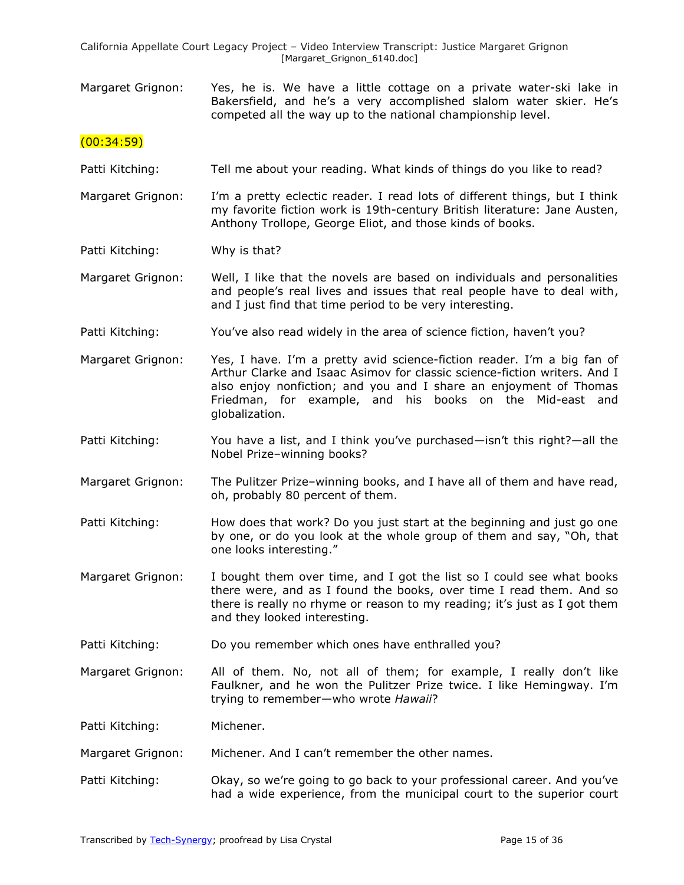Margaret Grignon: Yes, he is. We have a little cottage on a private water-ski lake in Bakersfield, and he's a very accomplished slalom water skier. He's competed all the way up to the national championship level.

### $(00:34:59)$

- Patti Kitching: Tell me about your reading. What kinds of things do you like to read?
- Margaret Grignon: I'm a pretty eclectic reader. I read lots of different things, but I think my favorite fiction work is 19th-century British literature: Jane Austen, Anthony Trollope, George Eliot, and those kinds of books.

Patti Kitching: Why is that?

Margaret Grignon: Well, I like that the novels are based on individuals and personalities and people's real lives and issues that real people have to deal with, and I just find that time period to be very interesting.

- Patti Kitching: You've also read widely in the area of science fiction, haven't you?
- Margaret Grignon: Yes, I have. I'm a pretty avid science-fiction reader. I'm a big fan of Arthur Clarke and Isaac Asimov for classic science-fiction writers. And I also enjoy nonfiction; and you and I share an enjoyment of Thomas Friedman, for example, and his books on the Mid-east and globalization.
- Patti Kitching: You have a list, and I think you've purchased—isn't this right?—all the Nobel Prize–winning books?
- Margaret Grignon: The Pulitzer Prize–winning books, and I have all of them and have read, oh, probably 80 percent of them.
- Patti Kitching: How does that work? Do you just start at the beginning and just go one by one, or do you look at the whole group of them and say, "Oh, that one looks interesting."
- Margaret Grignon: I bought them over time, and I got the list so I could see what books there were, and as I found the books, over time I read them. And so there is really no rhyme or reason to my reading; it's just as I got them and they looked interesting.
- Patti Kitching: Do you remember which ones have enthralled you?
- Margaret Grignon: All of them. No, not all of them; for example, I really don't like Faulkner, and he won the Pulitzer Prize twice. I like Hemingway. I'm trying to remember—who wrote *Hawaii*?

Patti Kitching: Michener.

- Margaret Grignon: Michener. And I can't remember the other names.
- Patti Kitching: Okay, so we're going to go back to your professional career. And you've had a wide experience, from the municipal court to the superior court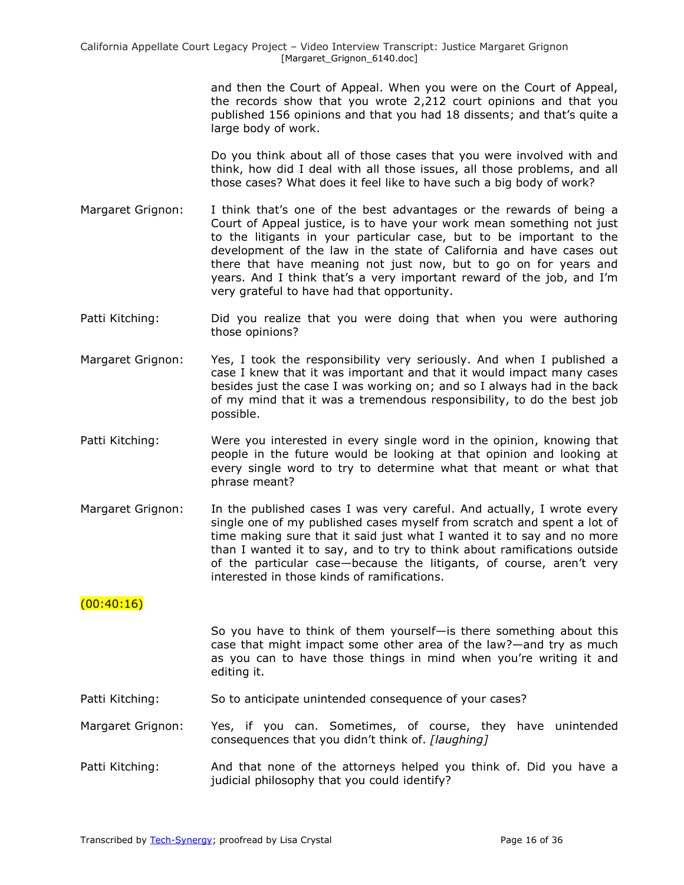and then the Court of Appeal. When you were on the Court of Appeal, the records show that you wrote 2,212 court opinions and that you published 156 opinions and that you had 18 dissents; and that's quite a large body of work.

Do you think about all of those cases that you were involved with and think, how did I deal with all those issues, all those problems, and all those cases? What does it feel like to have such a big body of work?

- Margaret Grignon: I think that's one of the best advantages or the rewards of being a Court of Appeal justice, is to have your work mean something not just to the litigants in your particular case, but to be important to the development of the law in the state of California and have cases out there that have meaning not just now, but to go on for years and years. And I think that's a very important reward of the job, and I'm very grateful to have had that opportunity.
- Patti Kitching: Did you realize that you were doing that when you were authoring those opinions?
- Margaret Grignon: Yes, I took the responsibility very seriously. And when I published a case I knew that it was important and that it would impact many cases besides just the case I was working on; and so I always had in the back of my mind that it was a tremendous responsibility, to do the best job possible.
- Patti Kitching: Were you interested in every single word in the opinion, knowing that people in the future would be looking at that opinion and looking at every single word to try to determine what that meant or what that phrase meant?
- Margaret Grignon: In the published cases I was very careful. And actually, I wrote every single one of my published cases myself from scratch and spent a lot of time making sure that it said just what I wanted it to say and no more than I wanted it to say, and to try to think about ramifications outside of the particular case—because the litigants, of course, aren't very interested in those kinds of ramifications.

## $(00:40:16)$

So you have to think of them yourself—is there something about this case that might impact some other area of the law?—and try as much as you can to have those things in mind when you're writing it and editing it.

Patti Kitching: So to anticipate unintended consequence of your cases?

Margaret Grignon: Yes, if you can. Sometimes, of course, they have unintended consequences that you didn't think of. *[laughing]* 

Patti Kitching: And that none of the attorneys helped you think of. Did you have a judicial philosophy that you could identify?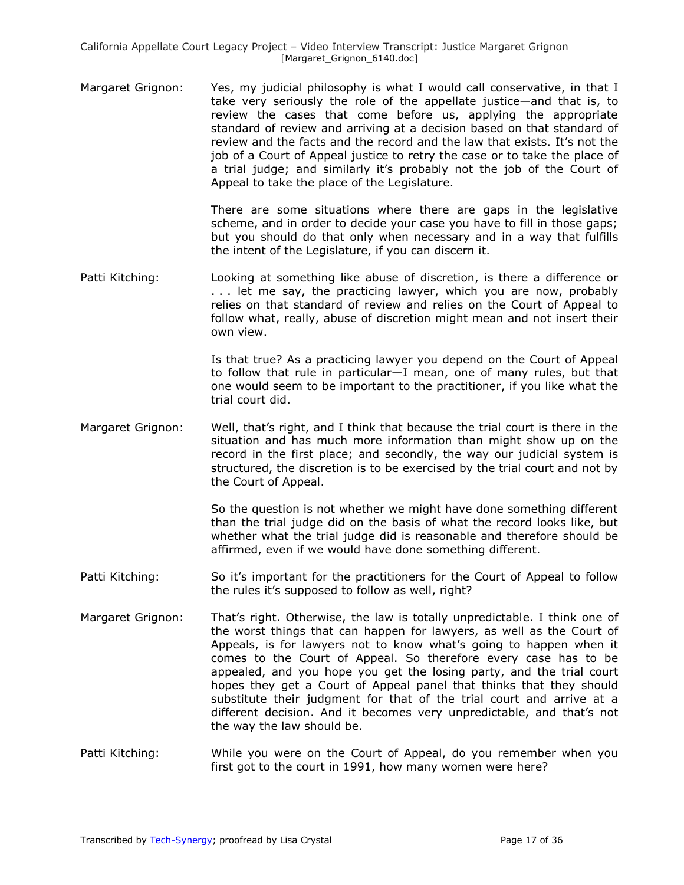Margaret Grignon: Yes, my judicial philosophy is what I would call conservative, in that I take very seriously the role of the appellate justice—and that is, to review the cases that come before us, applying the appropriate standard of review and arriving at a decision based on that standard of review and the facts and the record and the law that exists. It's not the job of a Court of Appeal justice to retry the case or to take the place of a trial judge; and similarly it's probably not the job of the Court of Appeal to take the place of the Legislature.

> There are some situations where there are gaps in the legislative scheme, and in order to decide your case you have to fill in those gaps; but you should do that only when necessary and in a way that fulfills the intent of the Legislature, if you can discern it.

Patti Kitching: Looking at something like abuse of discretion, is there a difference or ... let me say, the practicing lawyer, which you are now, probably relies on that standard of review and relies on the Court of Appeal to follow what, really, abuse of discretion might mean and not insert their own view.

> Is that true? As a practicing lawyer you depend on the Court of Appeal to follow that rule in particular—I mean, one of many rules, but that one would seem to be important to the practitioner, if you like what the trial court did.

Margaret Grignon: Well, that's right, and I think that because the trial court is there in the situation and has much more information than might show up on the record in the first place; and secondly, the way our judicial system is structured, the discretion is to be exercised by the trial court and not by the Court of Appeal.

> So the question is not whether we might have done something different than the trial judge did on the basis of what the record looks like, but whether what the trial judge did is reasonable and therefore should be affirmed, even if we would have done something different.

- Patti Kitching: So it's important for the practitioners for the Court of Appeal to follow the rules it's supposed to follow as well, right?
- Margaret Grignon: That's right. Otherwise, the law is totally unpredictable. I think one of the worst things that can happen for lawyers, as well as the Court of Appeals, is for lawyers not to know what's going to happen when it comes to the Court of Appeal. So therefore every case has to be appealed, and you hope you get the losing party, and the trial court hopes they get a Court of Appeal panel that thinks that they should substitute their judgment for that of the trial court and arrive at a different decision. And it becomes very unpredictable, and that's not the way the law should be.
- Patti Kitching: While you were on the Court of Appeal, do you remember when you first got to the court in 1991, how many women were here?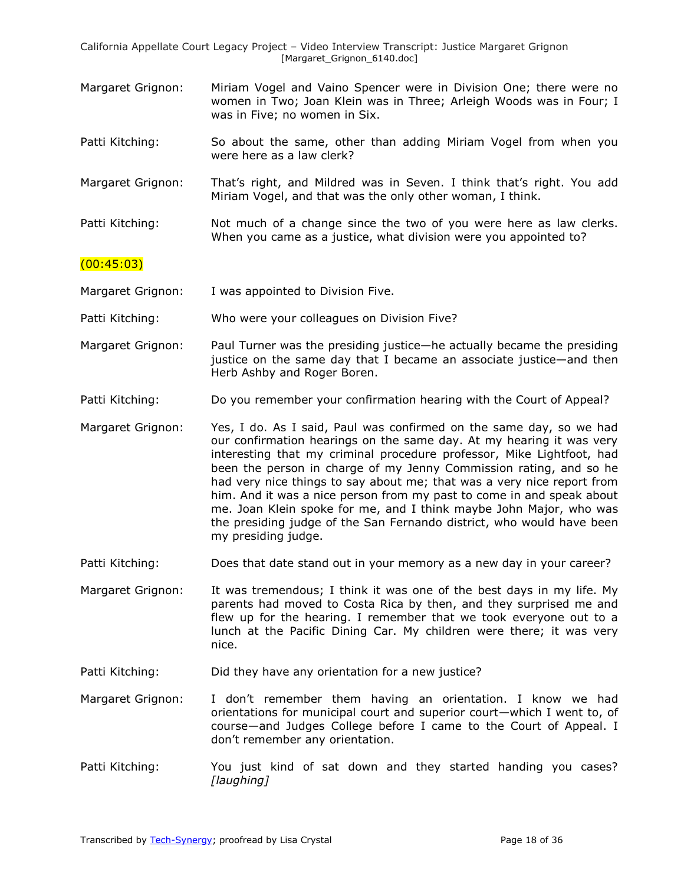- Margaret Grignon: Miriam Vogel and Vaino Spencer were in Division One; there were no women in Two; Joan Klein was in Three; Arleigh Woods was in Four; I was in Five; no women in Six.
- Patti Kitching: So about the same, other than adding Miriam Vogel from when you were here as a law clerk?
- Margaret Grignon: That's right, and Mildred was in Seven. I think that's right. You add Miriam Vogel, and that was the only other woman, I think.
- Patti Kitching: Not much of a change since the two of you were here as law clerks. When you came as a justice, what division were you appointed to?

## $(00:45:03)$

Margaret Grignon: I was appointed to Division Five.

Patti Kitching: Who were your colleagues on Division Five?

- Margaret Grignon: Paul Turner was the presiding justice—he actually became the presiding justice on the same day that I became an associate justice—and then Herb Ashby and Roger Boren.
- Patti Kitching: Do you remember your confirmation hearing with the Court of Appeal?
- Margaret Grignon: Yes, I do. As I said, Paul was confirmed on the same day, so we had our confirmation hearings on the same day. At my hearing it was very interesting that my criminal procedure professor, Mike Lightfoot, had been the person in charge of my Jenny Commission rating, and so he had very nice things to say about me; that was a very nice report from him. And it was a nice person from my past to come in and speak about me. Joan Klein spoke for me, and I think maybe John Major, who was the presiding judge of the San Fernando district, who would have been my presiding judge.
- Patti Kitching: Does that date stand out in your memory as a new day in your career?

Margaret Grignon: It was tremendous; I think it was one of the best days in my life. My parents had moved to Costa Rica by then, and they surprised me and flew up for the hearing. I remember that we took everyone out to a lunch at the Pacific Dining Car. My children were there; it was very nice.

- Patti Kitching: Did they have any orientation for a new justice?
- Margaret Grignon: I don't remember them having an orientation. I know we had orientations for municipal court and superior court—which I went to, of course—and Judges College before I came to the Court of Appeal. I don't remember any orientation.
- Patti Kitching: You just kind of sat down and they started handing you cases? *[laughing]*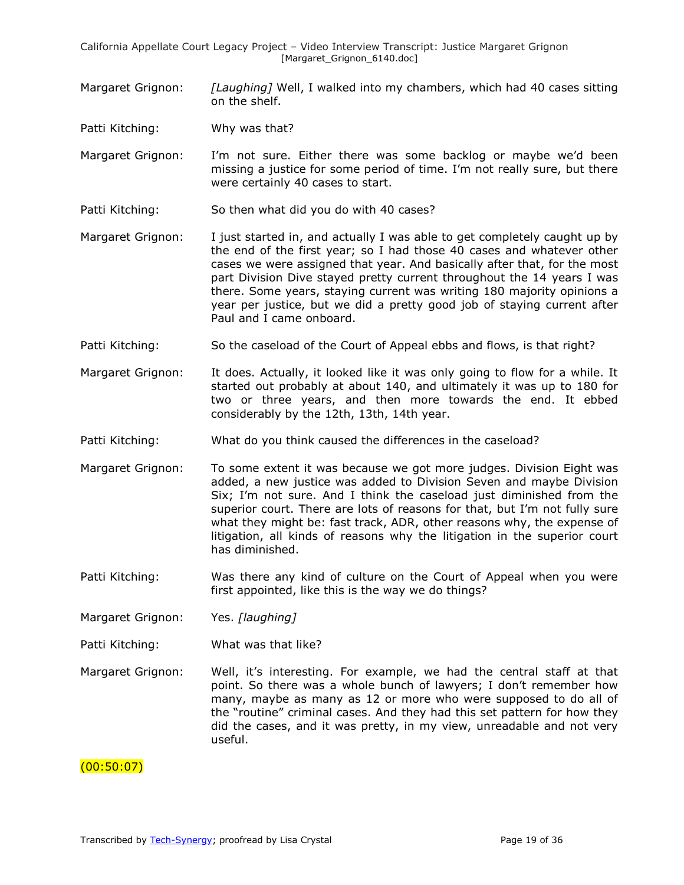Margaret Grignon: *[Laughing]* Well, I walked into my chambers, which had 40 cases sitting on the shelf.

Patti Kitching: Why was that?

- Margaret Grignon: I'm not sure. Either there was some backlog or maybe we'd been missing a justice for some period of time. I'm not really sure, but there were certainly 40 cases to start.
- Patti Kitching: So then what did you do with 40 cases?
- Margaret Grignon: I just started in, and actually I was able to get completely caught up by the end of the first year; so I had those 40 cases and whatever other cases we were assigned that year. And basically after that, for the most part Division Dive stayed pretty current throughout the 14 years I was there. Some years, staying current was writing 180 majority opinions a year per justice, but we did a pretty good job of staying current after Paul and I came onboard.
- Patti Kitching: So the caseload of the Court of Appeal ebbs and flows, is that right?
- Margaret Grignon: It does. Actually, it looked like it was only going to flow for a while. It started out probably at about 140, and ultimately it was up to 180 for two or three years, and then more towards the end. It ebbed considerably by the 12th, 13th, 14th year.
- Patti Kitching: What do you think caused the differences in the caseload?
- Margaret Grignon: To some extent it was because we got more judges. Division Eight was added, a new justice was added to Division Seven and maybe Division Six; I'm not sure. And I think the caseload just diminished from the superior court. There are lots of reasons for that, but I'm not fully sure what they might be: fast track, ADR, other reasons why, the expense of litigation, all kinds of reasons why the litigation in the superior court has diminished.
- Patti Kitching: Was there any kind of culture on the Court of Appeal when you were first appointed, like this is the way we do things?
- Margaret Grignon: Yes. *[laughing]*
- Patti Kitching: What was that like?
- Margaret Grignon: Well, it's interesting. For example, we had the central staff at that point. So there was a whole bunch of lawyers; I don't remember how many, maybe as many as 12 or more who were supposed to do all of the "routine" criminal cases. And they had this set pattern for how they did the cases, and it was pretty, in my view, unreadable and not very useful.

#### (00:50:07)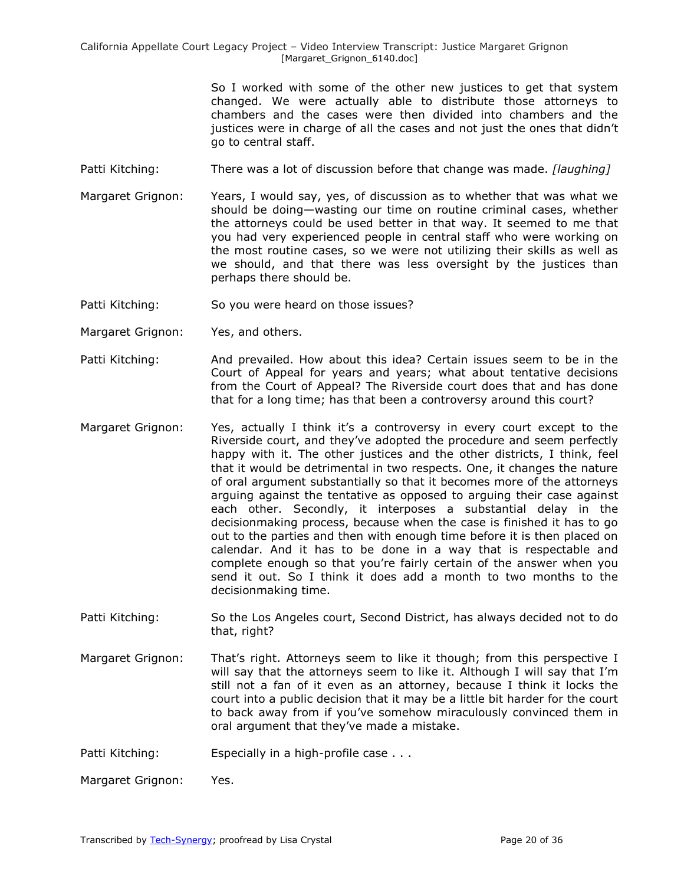> So I worked with some of the other new justices to get that system changed. We were actually able to distribute those attorneys to chambers and the cases were then divided into chambers and the justices were in charge of all the cases and not just the ones that didn't go to central staff.

- Patti Kitching: There was a lot of discussion before that change was made. *[laughing]*
- Margaret Grignon: Years, I would say, yes, of discussion as to whether that was what we should be doing—wasting our time on routine criminal cases, whether the attorneys could be used better in that way. It seemed to me that you had very experienced people in central staff who were working on the most routine cases, so we were not utilizing their skills as well as we should, and that there was less oversight by the justices than perhaps there should be.
- Patti Kitching: So you were heard on those issues?
- Margaret Grignon: Yes, and others.
- Patti Kitching: And prevailed. How about this idea? Certain issues seem to be in the Court of Appeal for years and years; what about tentative decisions from the Court of Appeal? The Riverside court does that and has done that for a long time; has that been a controversy around this court?
- Margaret Grignon: Yes, actually I think it's a controversy in every court except to the Riverside court, and they've adopted the procedure and seem perfectly happy with it. The other justices and the other districts, I think, feel that it would be detrimental in two respects. One, it changes the nature of oral argument substantially so that it becomes more of the attorneys arguing against the tentative as opposed to arguing their case against each other. Secondly, it interposes a substantial delay in the decisionmaking process, because when the case is finished it has to go out to the parties and then with enough time before it is then placed on calendar. And it has to be done in a way that is respectable and complete enough so that you're fairly certain of the answer when you send it out. So I think it does add a month to two months to the decisionmaking time.
- Patti Kitching: So the Los Angeles court, Second District, has always decided not to do that, right?
- Margaret Grignon: That's right. Attorneys seem to like it though; from this perspective I will say that the attorneys seem to like it. Although I will say that I'm still not a fan of it even as an attorney, because I think it locks the court into a public decision that it may be a little bit harder for the court to back away from if you've somehow miraculously convinced them in oral argument that they've made a mistake.
- Patti Kitching: Especially in a high-profile case . . .

Margaret Grignon: Yes.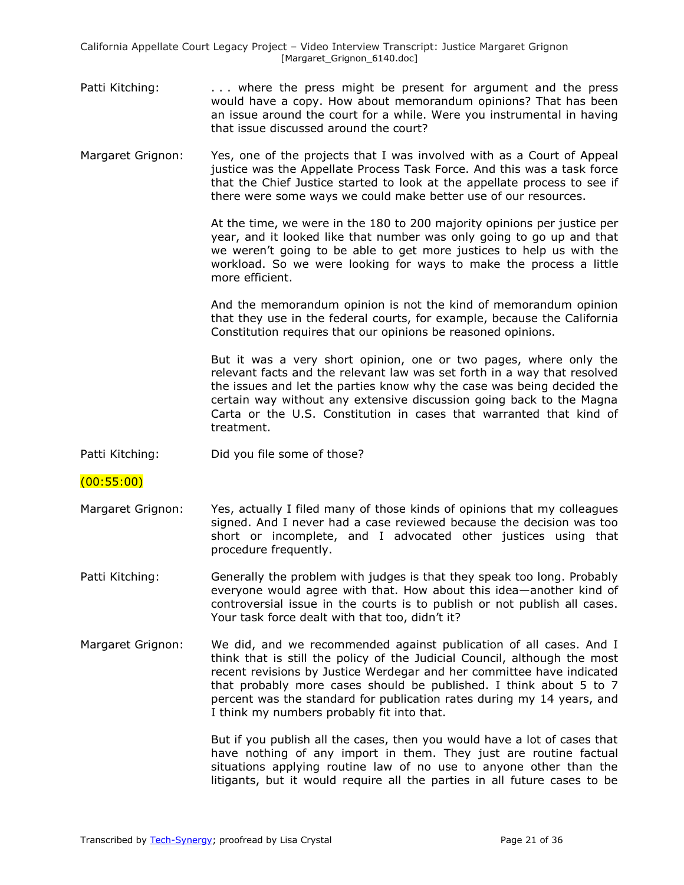- Patti Kitching: . . . . . where the press might be present for argument and the press would have a copy. How about memorandum opinions? That has been an issue around the court for a while. Were you instrumental in having that issue discussed around the court?
- Margaret Grignon: Yes, one of the projects that I was involved with as a Court of Appeal justice was the Appellate Process Task Force. And this was a task force that the Chief Justice started to look at the appellate process to see if there were some ways we could make better use of our resources.

At the time, we were in the 180 to 200 majority opinions per justice per year, and it looked like that number was only going to go up and that we weren't going to be able to get more justices to help us with the workload. So we were looking for ways to make the process a little more efficient.

And the memorandum opinion is not the kind of memorandum opinion that they use in the federal courts, for example, because the California Constitution requires that our opinions be reasoned opinions.

But it was a very short opinion, one or two pages, where only the relevant facts and the relevant law was set forth in a way that resolved the issues and let the parties know why the case was being decided the certain way without any extensive discussion going back to the Magna Carta or the U.S. Constitution in cases that warranted that kind of treatment.

- Patti Kitching: Did you file some of those?
- (00:55:00)
- Margaret Grignon: Yes, actually I filed many of those kinds of opinions that my colleagues signed. And I never had a case reviewed because the decision was too short or incomplete, and I advocated other justices using that procedure frequently.
- Patti Kitching: Generally the problem with judges is that they speak too long. Probably everyone would agree with that. How about this idea—another kind of controversial issue in the courts is to publish or not publish all cases. Your task force dealt with that too, didn't it?
- Margaret Grignon: We did, and we recommended against publication of all cases. And I think that is still the policy of the Judicial Council, although the most recent revisions by Justice Werdegar and her committee have indicated that probably more cases should be published. I think about 5 to 7 percent was the standard for publication rates during my 14 years, and I think my numbers probably fit into that.

But if you publish all the cases, then you would have a lot of cases that have nothing of any import in them. They just are routine factual situations applying routine law of no use to anyone other than the litigants, but it would require all the parties in all future cases to be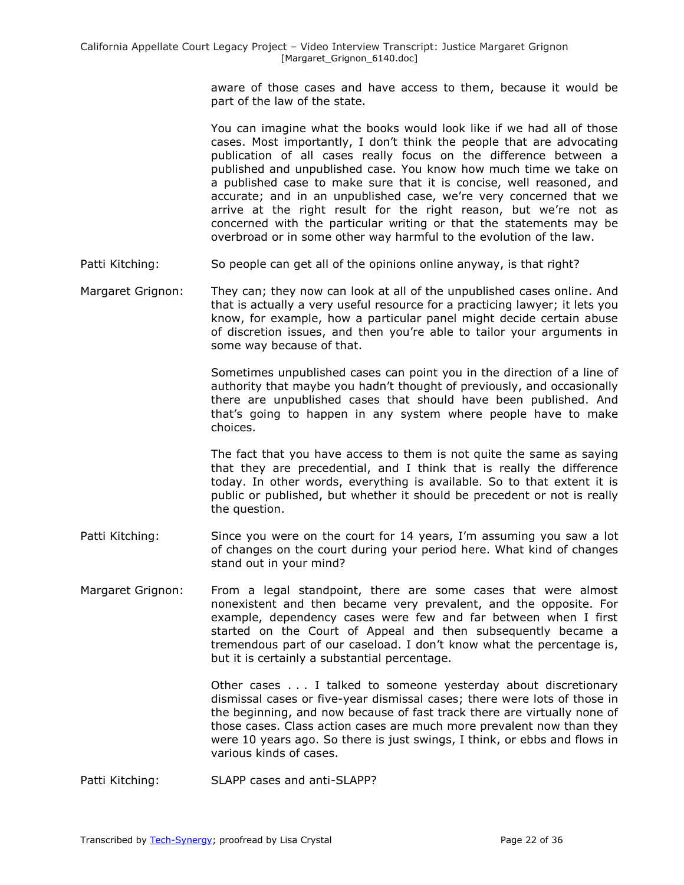aware of those cases and have access to them, because it would be part of the law of the state.

You can imagine what the books would look like if we had all of those cases. Most importantly, I don't think the people that are advocating publication of all cases really focus on the difference between a published and unpublished case. You know how much time we take on a published case to make sure that it is concise, well reasoned, and accurate; and in an unpublished case, we're very concerned that we arrive at the right result for the right reason, but we're not as concerned with the particular writing or that the statements may be overbroad or in some other way harmful to the evolution of the law.

- Patti Kitching: So people can get all of the opinions online anyway, is that right?
- Margaret Grignon: They can; they now can look at all of the unpublished cases online. And that is actually a very useful resource for a practicing lawyer; it lets you know, for example, how a particular panel might decide certain abuse of discretion issues, and then you're able to tailor your arguments in some way because of that.

Sometimes unpublished cases can point you in the direction of a line of authority that maybe you hadn't thought of previously, and occasionally there are unpublished cases that should have been published. And that's going to happen in any system where people have to make choices.

The fact that you have access to them is not quite the same as saying that they are precedential, and I think that is really the difference today. In other words, everything is available. So to that extent it is public or published, but whether it should be precedent or not is really the question.

- Patti Kitching: Since you were on the court for 14 years, I'm assuming you saw a lot of changes on the court during your period here. What kind of changes stand out in your mind?
- Margaret Grignon: From a legal standpoint, there are some cases that were almost nonexistent and then became very prevalent, and the opposite. For example, dependency cases were few and far between when I first started on the Court of Appeal and then subsequently became a tremendous part of our caseload. I don't know what the percentage is, but it is certainly a substantial percentage.

Other cases . . . I talked to someone yesterday about discretionary dismissal cases or five-year dismissal cases; there were lots of those in the beginning, and now because of fast track there are virtually none of those cases. Class action cases are much more prevalent now than they were 10 years ago. So there is just swings, I think, or ebbs and flows in various kinds of cases.

Patti Kitching: SLAPP cases and anti-SLAPP?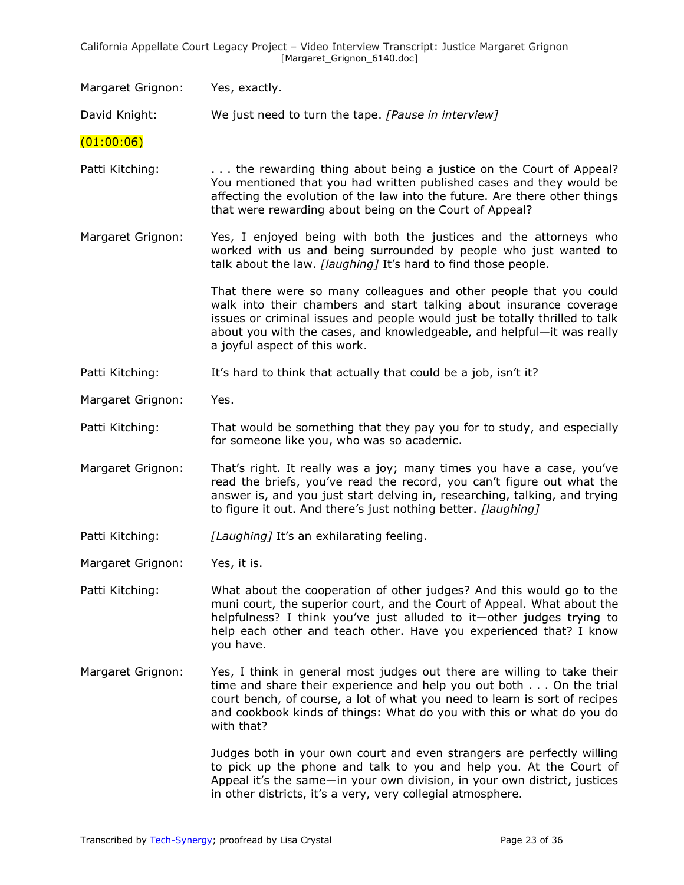Margaret Grignon: Yes, exactly.

David Knight: We just need to turn the tape. *[Pause in interview]* 

 $(01:00:06)$ 

- Patti Kitching: . . . . the rewarding thing about being a justice on the Court of Appeal? You mentioned that you had written published cases and they would be affecting the evolution of the law into the future. Are there other things that were rewarding about being on the Court of Appeal?
- Margaret Grignon: Yes, I enjoyed being with both the justices and the attorneys who worked with us and being surrounded by people who just wanted to talk about the law. *[laughing]* It's hard to find those people.

That there were so many colleagues and other people that you could walk into their chambers and start talking about insurance coverage issues or criminal issues and people would just be totally thrilled to talk about you with the cases, and knowledgeable, and helpful—it was really a joyful aspect of this work.

Patti Kitching: It's hard to think that actually that could be a job, isn't it?

Margaret Grignon: Yes.

Patti Kitching: That would be something that they pay you for to study, and especially for someone like you, who was so academic.

Margaret Grignon: That's right. It really was a joy; many times you have a case, you've read the briefs, you've read the record, you can't figure out what the answer is, and you just start delving in, researching, talking, and trying to figure it out. And there's just nothing better. *[laughing]*

Patti Kitching: *[Laughing]* It's an exhilarating feeling.

Margaret Grignon: Yes, it is.

Patti Kitching: What about the cooperation of other judges? And this would go to the muni court, the superior court, and the Court of Appeal. What about the helpfulness? I think you've just alluded to it—other judges trying to help each other and teach other. Have you experienced that? I know you have.

Margaret Grignon: Yes, I think in general most judges out there are willing to take their time and share their experience and help you out both . . . On the trial court bench, of course, a lot of what you need to learn is sort of recipes and cookbook kinds of things: What do you with this or what do you do with that?

> Judges both in your own court and even strangers are perfectly willing to pick up the phone and talk to you and help you. At the Court of Appeal it's the same—in your own division, in your own district, justices in other districts, it's a very, very collegial atmosphere.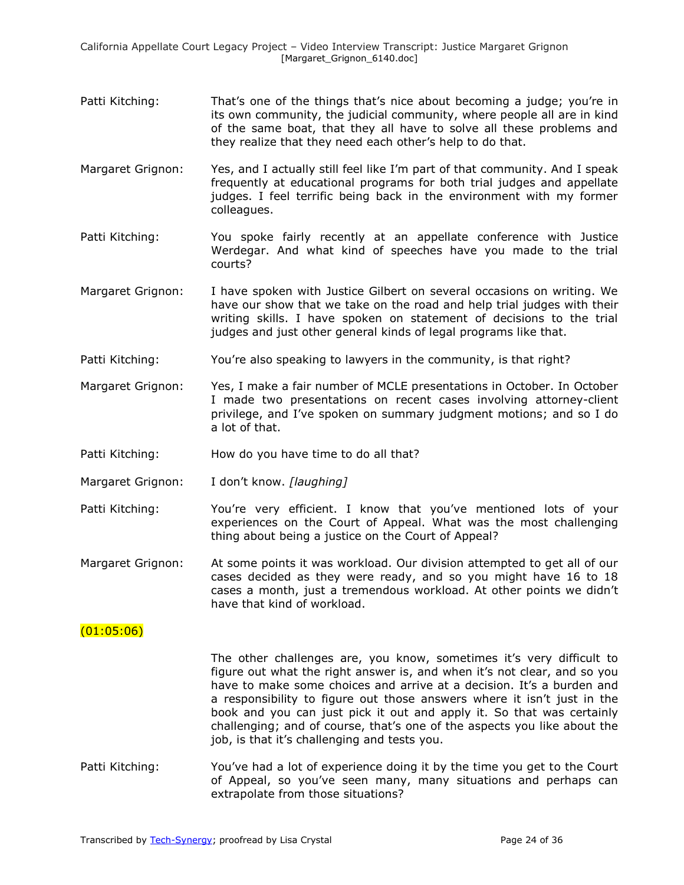- Patti Kitching: That's one of the things that's nice about becoming a judge; you're in its own community, the judicial community, where people all are in kind of the same boat, that they all have to solve all these problems and they realize that they need each other's help to do that.
- Margaret Grignon: Yes, and I actually still feel like I'm part of that community. And I speak frequently at educational programs for both trial judges and appellate judges. I feel terrific being back in the environment with my former colleagues.
- Patti Kitching: You spoke fairly recently at an appellate conference with Justice Werdegar. And what kind of speeches have you made to the trial courts?
- Margaret Grignon: I have spoken with Justice Gilbert on several occasions on writing. We have our show that we take on the road and help trial judges with their writing skills. I have spoken on statement of decisions to the trial judges and just other general kinds of legal programs like that.
- Patti Kitching: You're also speaking to lawyers in the community, is that right?
- Margaret Grignon: Yes, I make a fair number of MCLE presentations in October. In October I made two presentations on recent cases involving attorney-client privilege, and I've spoken on summary judgment motions; and so I do a lot of that.
- Patti Kitching: How do you have time to do all that?
- Margaret Grignon: I don't know. *[laughing]*
- Patti Kitching: You're very efficient. I know that you've mentioned lots of your experiences on the Court of Appeal. What was the most challenging thing about being a justice on the Court of Appeal?
- Margaret Grignon: At some points it was workload. Our division attempted to get all of our cases decided as they were ready, and so you might have 16 to 18 cases a month, just a tremendous workload. At other points we didn't have that kind of workload.

## (01:05:06)

The other challenges are, you know, sometimes it's very difficult to figure out what the right answer is, and when it's not clear, and so you have to make some choices and arrive at a decision. It's a burden and a responsibility to figure out those answers where it isn't just in the book and you can just pick it out and apply it. So that was certainly challenging; and of course, that's one of the aspects you like about the job, is that it's challenging and tests you.

Patti Kitching: You've had a lot of experience doing it by the time you get to the Court of Appeal, so you've seen many, many situations and perhaps can extrapolate from those situations?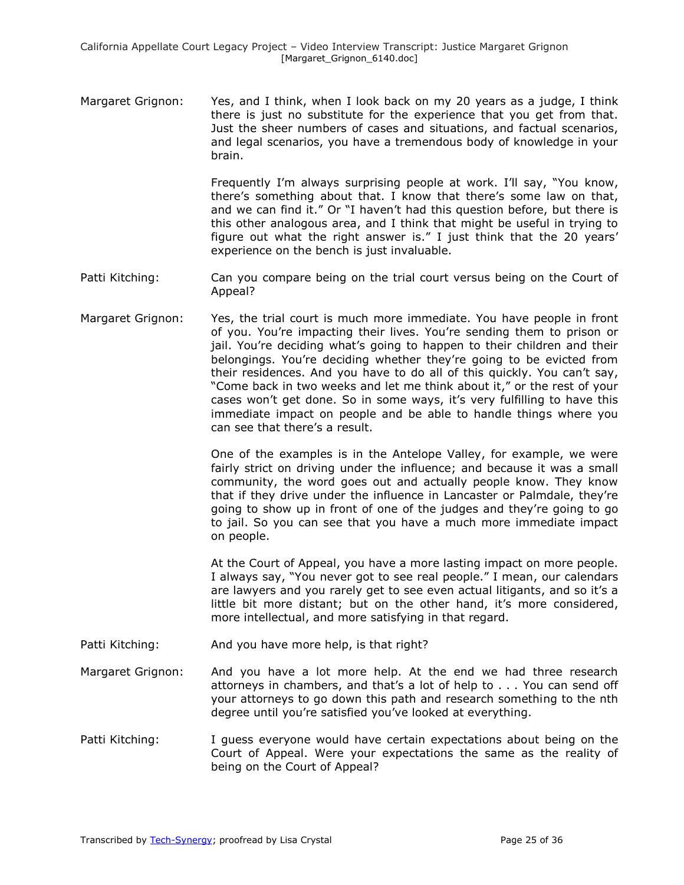Margaret Grignon: Yes, and I think, when I look back on my 20 years as a judge, I think there is just no substitute for the experience that you get from that. Just the sheer numbers of cases and situations, and factual scenarios, and legal scenarios, you have a tremendous body of knowledge in your brain.

> Frequently I'm always surprising people at work. I'll say, "You know, there's something about that. I know that there's some law on that, and we can find it." Or "I haven't had this question before, but there is this other analogous area, and I think that might be useful in trying to figure out what the right answer is." I just think that the 20 years' experience on the bench is just invaluable.

- Patti Kitching: Can you compare being on the trial court versus being on the Court of Appeal?
- Margaret Grignon: Yes, the trial court is much more immediate. You have people in front of you. You're impacting their lives. You're sending them to prison or jail. You're deciding what's going to happen to their children and their belongings. You're deciding whether they're going to be evicted from their residences. And you have to do all of this quickly. You can't say, "Come back in two weeks and let me think about it," or the rest of your cases won't get done. So in some ways, it's very fulfilling to have this immediate impact on people and be able to handle things where you can see that there's a result.

One of the examples is in the Antelope Valley, for example, we were fairly strict on driving under the influence; and because it was a small community, the word goes out and actually people know. They know that if they drive under the influence in Lancaster or Palmdale, they're going to show up in front of one of the judges and they're going to go to jail. So you can see that you have a much more immediate impact on people.

At the Court of Appeal, you have a more lasting impact on more people. I always say, "You never got to see real people." I mean, our calendars are lawyers and you rarely get to see even actual litigants, and so it's a little bit more distant; but on the other hand, it's more considered, more intellectual, and more satisfying in that regard.

- Patti Kitching: And you have more help, is that right?
- Margaret Grignon: And you have a lot more help. At the end we had three research attorneys in chambers, and that's a lot of help to . . . You can send off your attorneys to go down this path and research something to the nth degree until you're satisfied you've looked at everything.
- Patti Kitching: I guess everyone would have certain expectations about being on the Court of Appeal. Were your expectations the same as the reality of being on the Court of Appeal?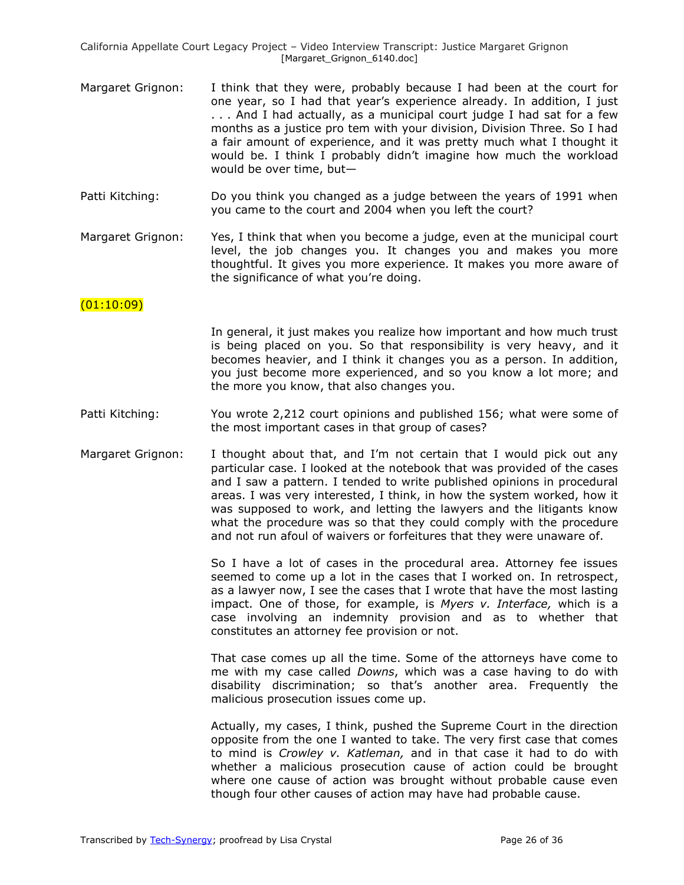- Margaret Grignon: I think that they were, probably because I had been at the court for one year, so I had that year's experience already. In addition, I just . . . And I had actually, as a municipal court judge I had sat for a few months as a justice pro tem with your division, Division Three. So I had a fair amount of experience, and it was pretty much what I thought it would be. I think I probably didn't imagine how much the workload would be over time, but—
- Patti Kitching: Do you think you changed as a judge between the years of 1991 when you came to the court and 2004 when you left the court?
- Margaret Grignon: Yes, I think that when you become a judge, even at the municipal court level, the job changes you. It changes you and makes you more thoughtful. It gives you more experience. It makes you more aware of the significance of what you're doing.

### $(01:10:09)$

In general, it just makes you realize how important and how much trust is being placed on you. So that responsibility is very heavy, and it becomes heavier, and I think it changes you as a person. In addition, you just become more experienced, and so you know a lot more; and the more you know, that also changes you.

- Patti Kitching: You wrote 2,212 court opinions and published 156; what were some of the most important cases in that group of cases?
- Margaret Grignon: I thought about that, and I'm not certain that I would pick out any particular case. I looked at the notebook that was provided of the cases and I saw a pattern. I tended to write published opinions in procedural areas. I was very interested, I think, in how the system worked, how it was supposed to work, and letting the lawyers and the litigants know what the procedure was so that they could comply with the procedure and not run afoul of waivers or forfeitures that they were unaware of.

So I have a lot of cases in the procedural area. Attorney fee issues seemed to come up a lot in the cases that I worked on. In retrospect, as a lawyer now, I see the cases that I wrote that have the most lasting impact. One of those, for example, is *Myers v. Interface,* which is a case involving an indemnity provision and as to whether that constitutes an attorney fee provision or not.

That case comes up all the time. Some of the attorneys have come to me with my case called *Downs*, which was a case having to do with disability discrimination; so that's another area. Frequently the malicious prosecution issues come up.

Actually, my cases, I think, pushed the Supreme Court in the direction opposite from the one I wanted to take. The very first case that comes to mind is *Crowley v. Katleman,* and in that case it had to do with whether a malicious prosecution cause of action could be brought where one cause of action was brought without probable cause even though four other causes of action may have had probable cause.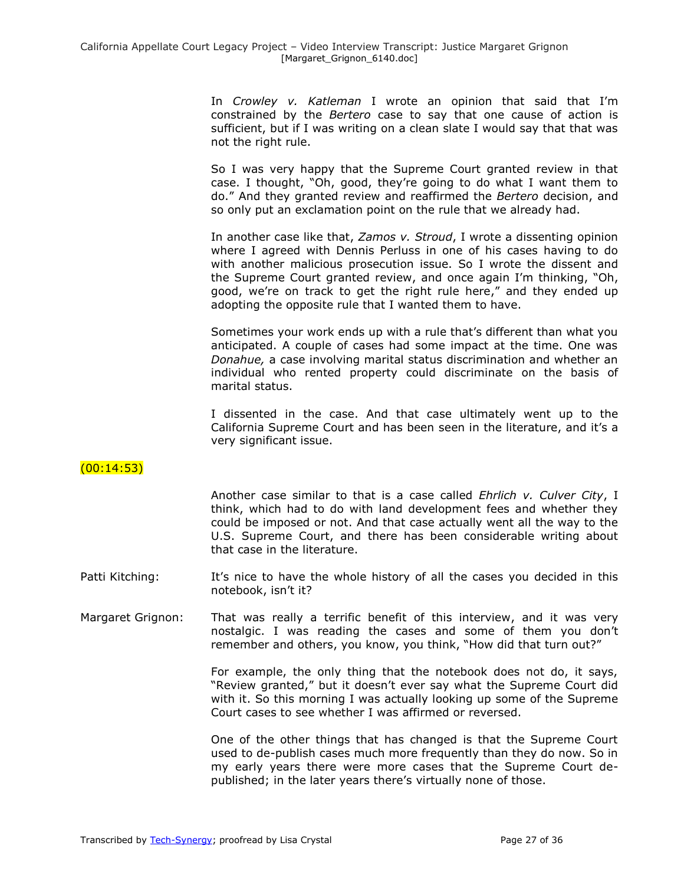In *Crowley v. Katleman* I wrote an opinion that said that I'm constrained by the *Bertero* case to say that one cause of action is sufficient, but if I was writing on a clean slate I would say that that was not the right rule.

So I was very happy that the Supreme Court granted review in that case. I thought, "Oh, good, they're going to do what I want them to do.‖ And they granted review and reaffirmed the *Bertero* decision, and so only put an exclamation point on the rule that we already had.

In another case like that, *Zamos v. Stroud*, I wrote a dissenting opinion where I agreed with Dennis Perluss in one of his cases having to do with another malicious prosecution issue. So I wrote the dissent and the Supreme Court granted review, and once again I'm thinking, "Oh, good, we're on track to get the right rule here," and they ended up adopting the opposite rule that I wanted them to have.

Sometimes your work ends up with a rule that's different than what you anticipated. A couple of cases had some impact at the time. One was *Donahue,* a case involving marital status discrimination and whether an individual who rented property could discriminate on the basis of marital status.

I dissented in the case. And that case ultimately went up to the California Supreme Court and has been seen in the literature, and it's a very significant issue.

# $(00:14:53)$

Another case similar to that is a case called *Ehrlich v. Culver City*, I think, which had to do with land development fees and whether they could be imposed or not. And that case actually went all the way to the U.S. Supreme Court, and there has been considerable writing about that case in the literature.

- Patti Kitching: It's nice to have the whole history of all the cases you decided in this notebook, isn't it?
- Margaret Grignon: That was really a terrific benefit of this interview, and it was very nostalgic. I was reading the cases and some of them you don't remember and others, you know, you think, "How did that turn out?"

For example, the only thing that the notebook does not do, it says, "Review granted," but it doesn't ever say what the Supreme Court did with it. So this morning I was actually looking up some of the Supreme Court cases to see whether I was affirmed or reversed.

One of the other things that has changed is that the Supreme Court used to de-publish cases much more frequently than they do now. So in my early years there were more cases that the Supreme Court depublished; in the later years there's virtually none of those.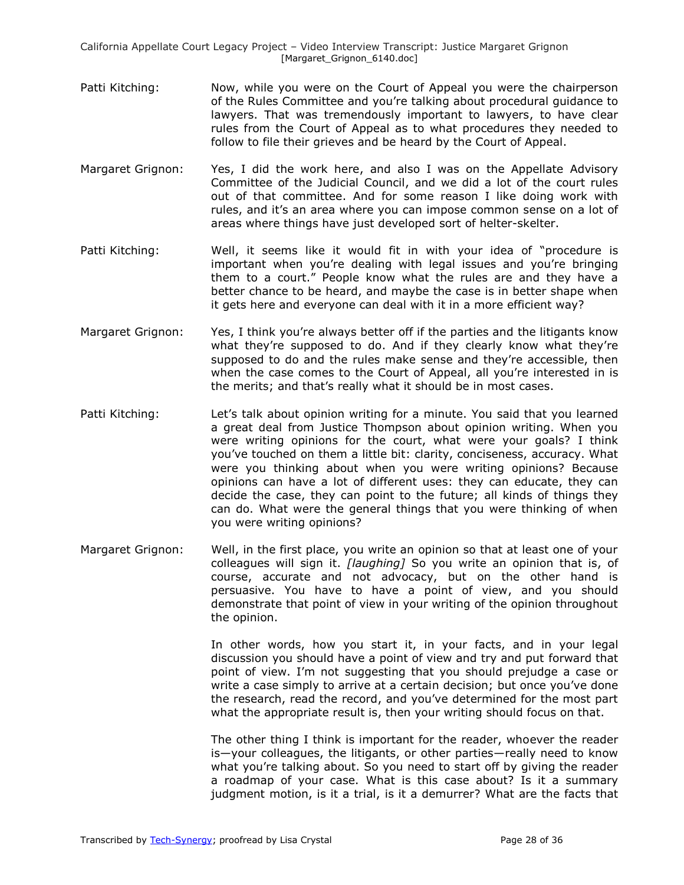- Patti Kitching: Now, while you were on the Court of Appeal you were the chairperson of the Rules Committee and you're talking about procedural guidance to lawyers. That was tremendously important to lawyers, to have clear rules from the Court of Appeal as to what procedures they needed to follow to file their grieves and be heard by the Court of Appeal.
- Margaret Grignon: Yes, I did the work here, and also I was on the Appellate Advisory Committee of the Judicial Council, and we did a lot of the court rules out of that committee. And for some reason I like doing work with rules, and it's an area where you can impose common sense on a lot of areas where things have just developed sort of helter-skelter.
- Patti Kitching: Well, it seems like it would fit in with your idea of "procedure is important when you're dealing with legal issues and you're bringing them to a court." People know what the rules are and they have a better chance to be heard, and maybe the case is in better shape when it gets here and everyone can deal with it in a more efficient way?
- Margaret Grignon: Yes, I think you're always better off if the parties and the litigants know what they're supposed to do. And if they clearly know what they're supposed to do and the rules make sense and they're accessible, then when the case comes to the Court of Appeal, all you're interested in is the merits; and that's really what it should be in most cases.
- Patti Kitching: Let's talk about opinion writing for a minute. You said that you learned a great deal from Justice Thompson about opinion writing. When you were writing opinions for the court, what were your goals? I think you've touched on them a little bit: clarity, conciseness, accuracy. What were you thinking about when you were writing opinions? Because opinions can have a lot of different uses: they can educate, they can decide the case, they can point to the future; all kinds of things they can do. What were the general things that you were thinking of when you were writing opinions?
- Margaret Grignon: Well, in the first place, you write an opinion so that at least one of your colleagues will sign it. *[laughing]* So you write an opinion that is, of course, accurate and not advocacy, but on the other hand is persuasive. You have to have a point of view, and you should demonstrate that point of view in your writing of the opinion throughout the opinion.

In other words, how you start it, in your facts, and in your legal discussion you should have a point of view and try and put forward that point of view. I'm not suggesting that you should prejudge a case or write a case simply to arrive at a certain decision; but once you've done the research, read the record, and you've determined for the most part what the appropriate result is, then your writing should focus on that.

The other thing I think is important for the reader, whoever the reader is—your colleagues, the litigants, or other parties—really need to know what you're talking about. So you need to start off by giving the reader a roadmap of your case. What is this case about? Is it a summary judgment motion, is it a trial, is it a demurrer? What are the facts that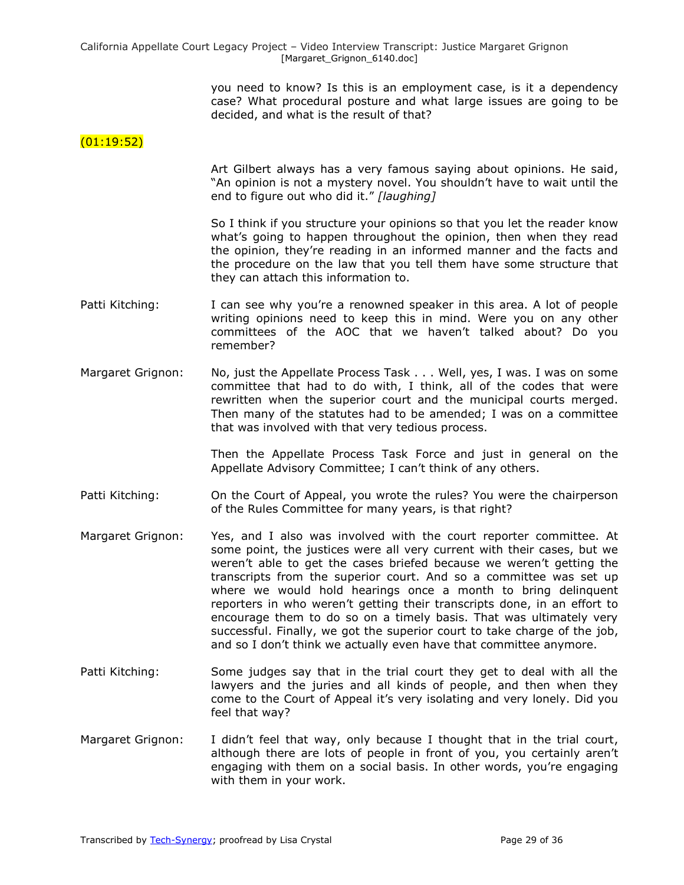you need to know? Is this is an employment case, is it a dependency case? What procedural posture and what large issues are going to be decided, and what is the result of that?

# $(01:19:52)$

Art Gilbert always has a very famous saying about opinions. He said, "An opinion is not a mystery novel. You shouldn't have to wait until the end to figure out who did it." [laughing]

So I think if you structure your opinions so that you let the reader know what's going to happen throughout the opinion, then when they read the opinion, they're reading in an informed manner and the facts and the procedure on the law that you tell them have some structure that they can attach this information to.

- Patti Kitching: I can see why you're a renowned speaker in this area. A lot of people writing opinions need to keep this in mind. Were you on any other committees of the AOC that we haven't talked about? Do you remember?
- Margaret Grignon: No, just the Appellate Process Task . . . Well, yes, I was. I was on some committee that had to do with, I think, all of the codes that were rewritten when the superior court and the municipal courts merged. Then many of the statutes had to be amended; I was on a committee that was involved with that very tedious process.

Then the Appellate Process Task Force and just in general on the Appellate Advisory Committee; I can't think of any others.

- Patti Kitching: On the Court of Appeal, you wrote the rules? You were the chairperson of the Rules Committee for many years, is that right?
- Margaret Grignon: Yes, and I also was involved with the court reporter committee. At some point, the justices were all very current with their cases, but we weren't able to get the cases briefed because we weren't getting the transcripts from the superior court. And so a committee was set up where we would hold hearings once a month to bring delinquent reporters in who weren't getting their transcripts done, in an effort to encourage them to do so on a timely basis. That was ultimately very successful. Finally, we got the superior court to take charge of the job, and so I don't think we actually even have that committee anymore.
- Patti Kitching: Some judges say that in the trial court they get to deal with all the lawyers and the juries and all kinds of people, and then when they come to the Court of Appeal it's very isolating and very lonely. Did you feel that way?
- Margaret Grignon: I didn't feel that way, only because I thought that in the trial court, although there are lots of people in front of you, you certainly aren't engaging with them on a social basis. In other words, you're engaging with them in your work.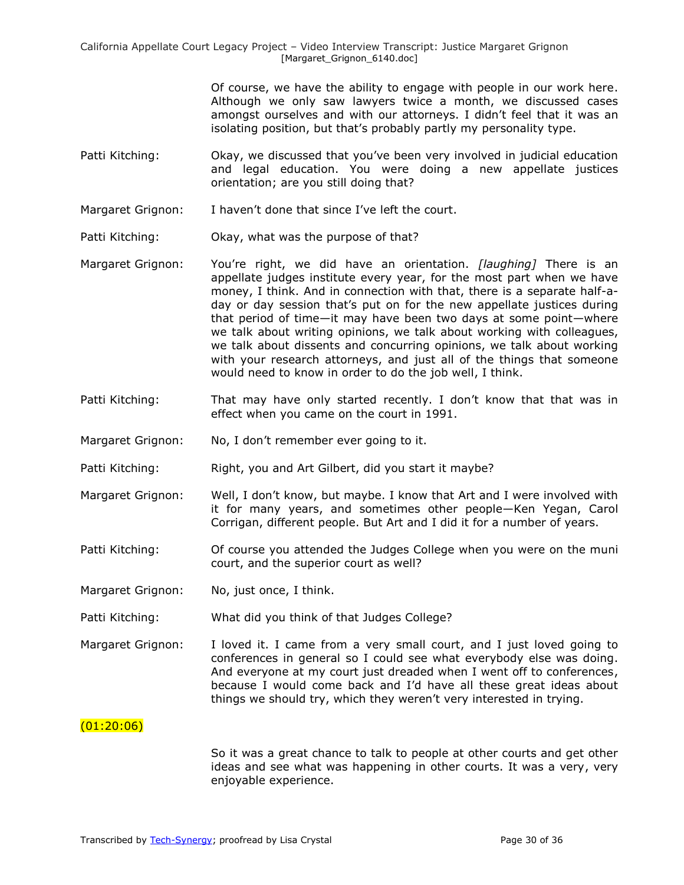Of course, we have the ability to engage with people in our work here. Although we only saw lawyers twice a month, we discussed cases amongst ourselves and with our attorneys. I didn't feel that it was an isolating position, but that's probably partly my personality type.

- Patti Kitching: Okay, we discussed that you've been very involved in judicial education and legal education. You were doing a new appellate justices orientation; are you still doing that?
- Margaret Grignon: I haven't done that since I've left the court.
- Patti Kitching: Okay, what was the purpose of that?
- Margaret Grignon: You're right, we did have an orientation. *[laughing]* There is an appellate judges institute every year, for the most part when we have money, I think. And in connection with that, there is a separate half-aday or day session that's put on for the new appellate justices during that period of time—it may have been two days at some point—where we talk about writing opinions, we talk about working with colleagues, we talk about dissents and concurring opinions, we talk about working with your research attorneys, and just all of the things that someone would need to know in order to do the job well, I think.
- Patti Kitching: That may have only started recently. I don't know that that was in effect when you came on the court in 1991.
- Margaret Grignon: No, I don't remember ever going to it.
- Patti Kitching: Right, you and Art Gilbert, did you start it maybe?
- Margaret Grignon: Well, I don't know, but maybe. I know that Art and I were involved with it for many years, and sometimes other people—Ken Yegan, Carol Corrigan, different people. But Art and I did it for a number of years.
- Patti Kitching: Of course you attended the Judges College when you were on the muni court, and the superior court as well?
- Margaret Grignon: No, just once, I think.
- Patti Kitching: What did you think of that Judges College?
- Margaret Grignon: I loved it. I came from a very small court, and I just loved going to conferences in general so I could see what everybody else was doing. And everyone at my court just dreaded when I went off to conferences, because I would come back and I'd have all these great ideas about things we should try, which they weren't very interested in trying.

## $(01:20:06)$

So it was a great chance to talk to people at other courts and get other ideas and see what was happening in other courts. It was a very, very enjoyable experience.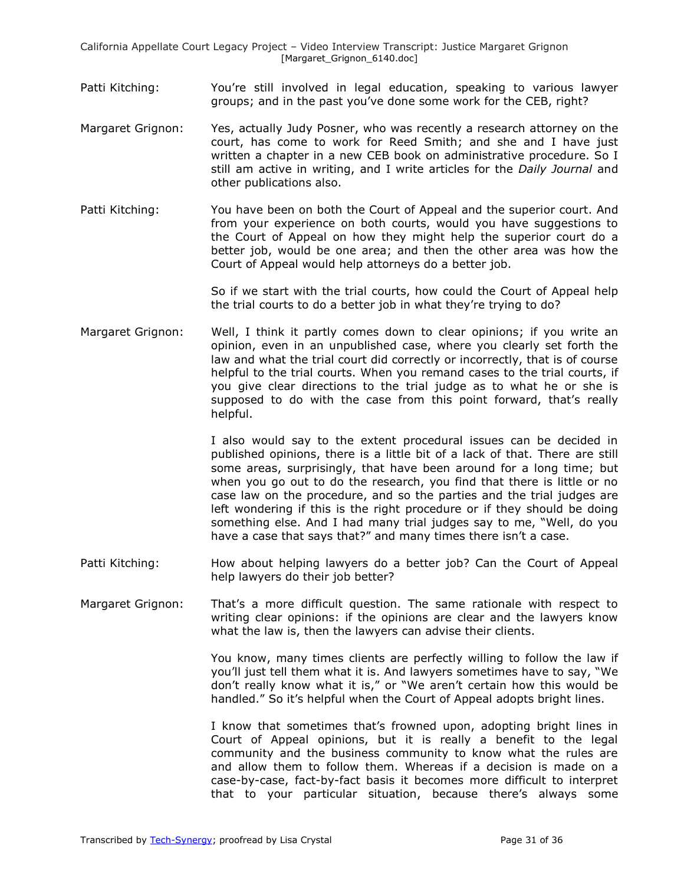- Patti Kitching: You're still involved in legal education, speaking to various lawyer groups; and in the past you've done some work for the CEB, right?
- Margaret Grignon: Yes, actually Judy Posner, who was recently a research attorney on the court, has come to work for Reed Smith; and she and I have just written a chapter in a new CEB book on administrative procedure. So I still am active in writing, and I write articles for the *Daily Journal* and other publications also.
- Patti Kitching: You have been on both the Court of Appeal and the superior court. And from your experience on both courts, would you have suggestions to the Court of Appeal on how they might help the superior court do a better job, would be one area; and then the other area was how the Court of Appeal would help attorneys do a better job.

So if we start with the trial courts, how could the Court of Appeal help the trial courts to do a better job in what they're trying to do?

Margaret Grignon: Well, I think it partly comes down to clear opinions; if you write an opinion, even in an unpublished case, where you clearly set forth the law and what the trial court did correctly or incorrectly, that is of course helpful to the trial courts. When you remand cases to the trial courts, if you give clear directions to the trial judge as to what he or she is supposed to do with the case from this point forward, that's really helpful.

> I also would say to the extent procedural issues can be decided in published opinions, there is a little bit of a lack of that. There are still some areas, surprisingly, that have been around for a long time; but when you go out to do the research, you find that there is little or no case law on the procedure, and so the parties and the trial judges are left wondering if this is the right procedure or if they should be doing something else. And I had many trial judges say to me, "Well, do you have a case that says that?" and many times there isn't a case.

Patti Kitching: How about helping lawyers do a better job? Can the Court of Appeal help lawyers do their job better?

Margaret Grignon: That's a more difficult question. The same rationale with respect to writing clear opinions: if the opinions are clear and the lawyers know what the law is, then the lawyers can advise their clients.

> You know, many times clients are perfectly willing to follow the law if you'll just tell them what it is. And lawyers sometimes have to say, "We don't really know what it is," or "We aren't certain how this would be handled." So it's helpful when the Court of Appeal adopts bright lines.

> I know that sometimes that's frowned upon, adopting bright lines in Court of Appeal opinions, but it is really a benefit to the legal community and the business community to know what the rules are and allow them to follow them. Whereas if a decision is made on a case-by-case, fact-by-fact basis it becomes more difficult to interpret that to your particular situation, because there's always some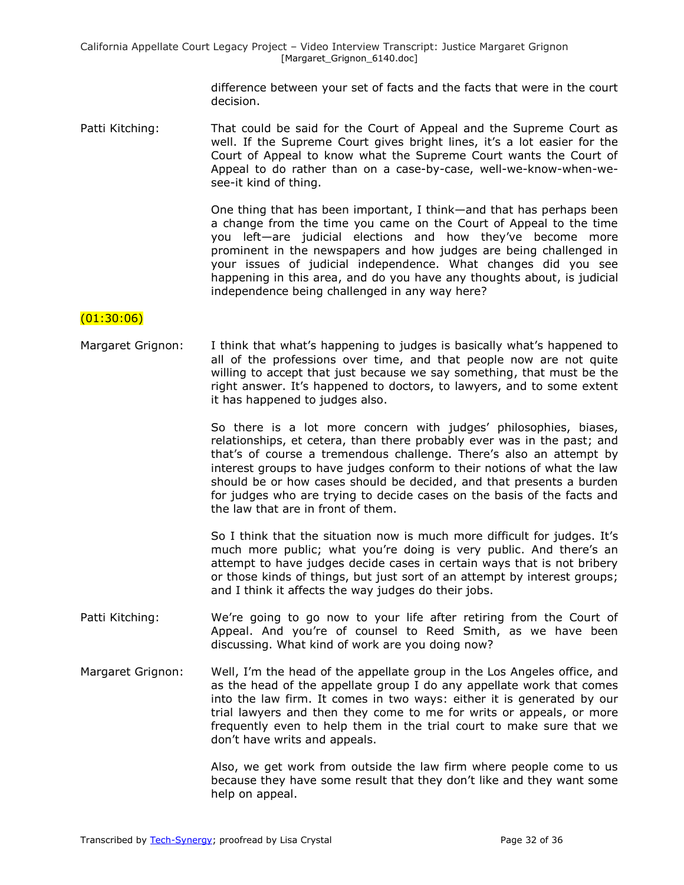difference between your set of facts and the facts that were in the court decision.

Patti Kitching: That could be said for the Court of Appeal and the Supreme Court as well. If the Supreme Court gives bright lines, it's a lot easier for the Court of Appeal to know what the Supreme Court wants the Court of Appeal to do rather than on a case-by-case, well-we-know-when-wesee-it kind of thing.

> One thing that has been important, I think—and that has perhaps been a change from the time you came on the Court of Appeal to the time you left—are judicial elections and how they've become more prominent in the newspapers and how judges are being challenged in your issues of judicial independence. What changes did you see happening in this area, and do you have any thoughts about, is judicial independence being challenged in any way here?

#### $(01:30:06)$

Margaret Grignon: I think that what's happening to judges is basically what's happened to all of the professions over time, and that people now are not quite willing to accept that just because we say something, that must be the right answer. It's happened to doctors, to lawyers, and to some extent it has happened to judges also.

> So there is a lot more concern with judges' philosophies, biases, relationships, et cetera, than there probably ever was in the past; and that's of course a tremendous challenge. There's also an attempt by interest groups to have judges conform to their notions of what the law should be or how cases should be decided, and that presents a burden for judges who are trying to decide cases on the basis of the facts and the law that are in front of them.

> So I think that the situation now is much more difficult for judges. It's much more public; what you're doing is very public. And there's an attempt to have judges decide cases in certain ways that is not bribery or those kinds of things, but just sort of an attempt by interest groups; and I think it affects the way judges do their jobs.

- Patti Kitching: We're going to go now to your life after retiring from the Court of Appeal. And you're of counsel to Reed Smith, as we have been discussing. What kind of work are you doing now?
- Margaret Grignon: Well, I'm the head of the appellate group in the Los Angeles office, and as the head of the appellate group I do any appellate work that comes into the law firm. It comes in two ways: either it is generated by our trial lawyers and then they come to me for writs or appeals, or more frequently even to help them in the trial court to make sure that we don't have writs and appeals.

Also, we get work from outside the law firm where people come to us because they have some result that they don't like and they want some help on appeal.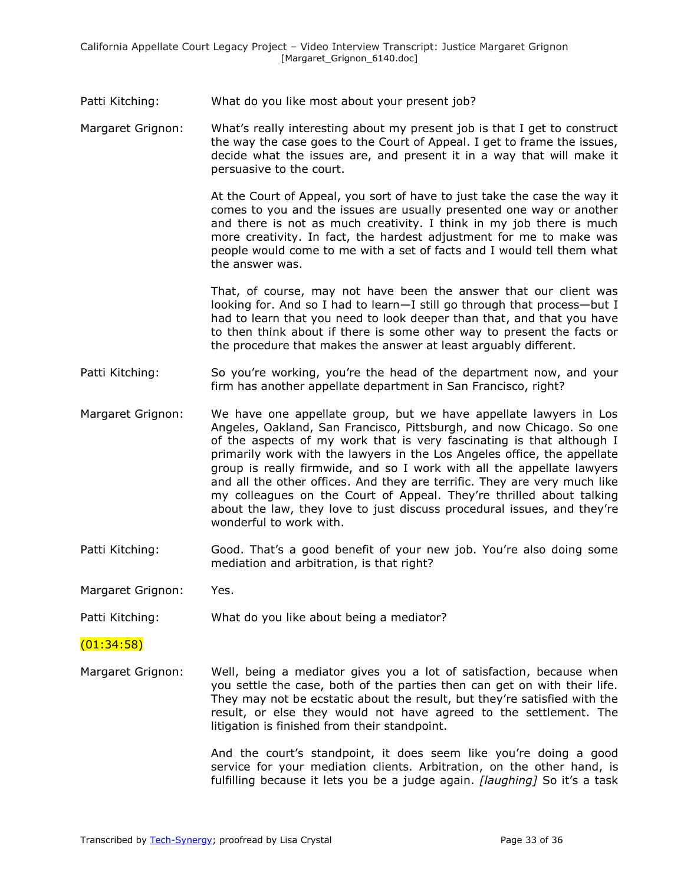Patti Kitching: What do you like most about your present job?

Margaret Grignon: What's really interesting about my present job is that I get to construct the way the case goes to the Court of Appeal. I get to frame the issues, decide what the issues are, and present it in a way that will make it persuasive to the court.

> At the Court of Appeal, you sort of have to just take the case the way it comes to you and the issues are usually presented one way or another and there is not as much creativity. I think in my job there is much more creativity. In fact, the hardest adjustment for me to make was people would come to me with a set of facts and I would tell them what the answer was.

> That, of course, may not have been the answer that our client was looking for. And so I had to learn—I still go through that process—but I had to learn that you need to look deeper than that, and that you have to then think about if there is some other way to present the facts or the procedure that makes the answer at least arguably different.

- Patti Kitching: So you're working, you're the head of the department now, and your firm has another appellate department in San Francisco, right?
- Margaret Grignon: We have one appellate group, but we have appellate lawyers in Los Angeles, Oakland, San Francisco, Pittsburgh, and now Chicago. So one of the aspects of my work that is very fascinating is that although I primarily work with the lawyers in the Los Angeles office, the appellate group is really firmwide, and so I work with all the appellate lawyers and all the other offices. And they are terrific. They are very much like my colleagues on the Court of Appeal. They're thrilled about talking about the law, they love to just discuss procedural issues, and they're wonderful to work with.
- Patti Kitching: Good. That's a good benefit of your new job. You're also doing some mediation and arbitration, is that right?

Margaret Grignon: Yes.

Patti Kitching: What do you like about being a mediator?

#### $(01:34:58)$

Margaret Grignon: Well, being a mediator gives you a lot of satisfaction, because when you settle the case, both of the parties then can get on with their life. They may not be ecstatic about the result, but they're satisfied with the result, or else they would not have agreed to the settlement. The litigation is finished from their standpoint.

> And the court's standpoint, it does seem like you're doing a good service for your mediation clients. Arbitration, on the other hand, is fulfilling because it lets you be a judge again. *[laughing]* So it's a task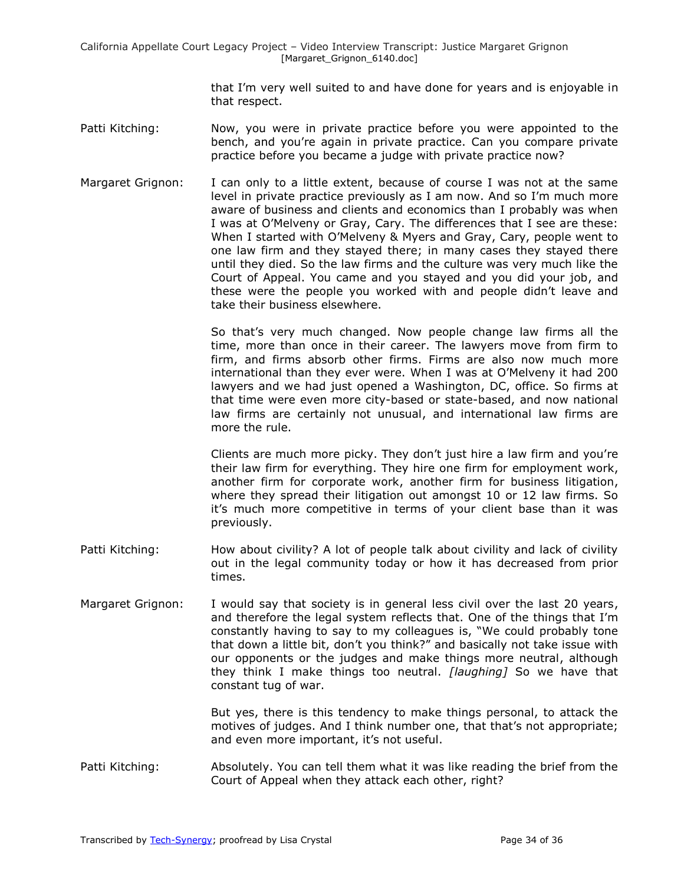> that I'm very well suited to and have done for years and is enjoyable in that respect.

- Patti Kitching: Now, you were in private practice before you were appointed to the bench, and you're again in private practice. Can you compare private practice before you became a judge with private practice now?
- Margaret Grignon: I can only to a little extent, because of course I was not at the same level in private practice previously as I am now. And so I'm much more aware of business and clients and economics than I probably was when I was at O'Melveny or Gray, Cary. The differences that I see are these: When I started with O'Melveny & Myers and Gray, Cary, people went to one law firm and they stayed there; in many cases they stayed there until they died. So the law firms and the culture was very much like the Court of Appeal. You came and you stayed and you did your job, and these were the people you worked with and people didn't leave and take their business elsewhere.

So that's very much changed. Now people change law firms all the time, more than once in their career. The lawyers move from firm to firm, and firms absorb other firms. Firms are also now much more international than they ever were. When I was at O'Melveny it had 200 lawyers and we had just opened a Washington, DC, office. So firms at that time were even more city-based or state-based, and now national law firms are certainly not unusual, and international law firms are more the rule.

Clients are much more picky. They don't just hire a law firm and you're their law firm for everything. They hire one firm for employment work, another firm for corporate work, another firm for business litigation, where they spread their litigation out amongst 10 or 12 law firms. So it's much more competitive in terms of your client base than it was previously.

- Patti Kitching: How about civility? A lot of people talk about civility and lack of civility out in the legal community today or how it has decreased from prior times.
- Margaret Grignon: I would say that society is in general less civil over the last 20 years, and therefore the legal system reflects that. One of the things that I'm constantly having to say to my colleagues is, "We could probably tone that down a little bit, don't you think?" and basically not take issue with our opponents or the judges and make things more neutral, although they think I make things too neutral. *[laughing]* So we have that constant tug of war.

But yes, there is this tendency to make things personal, to attack the motives of judges. And I think number one, that that's not appropriate; and even more important, it's not useful.

Patti Kitching: Absolutely. You can tell them what it was like reading the brief from the Court of Appeal when they attack each other, right?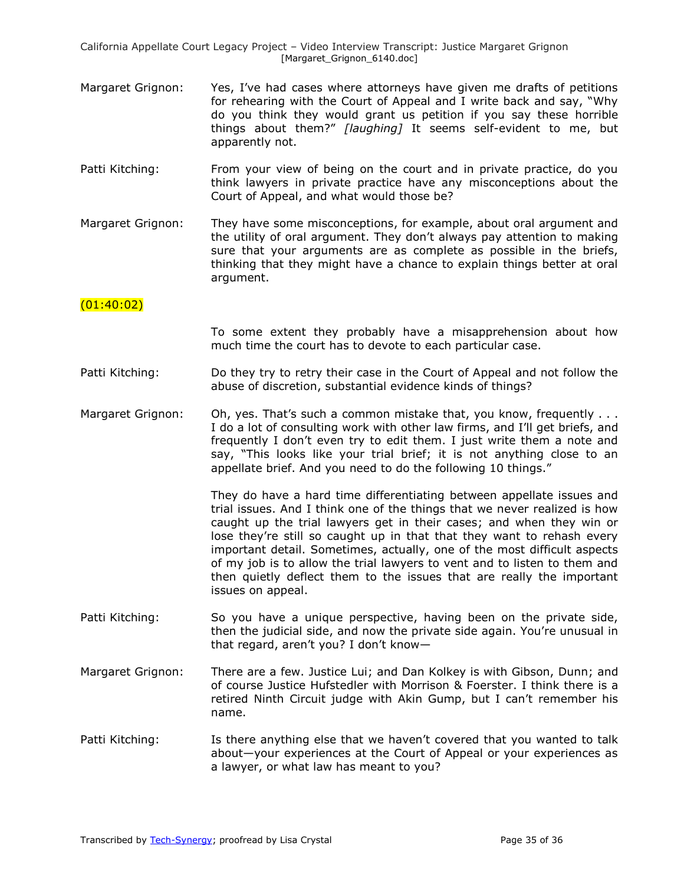- Margaret Grignon: Yes, I've had cases where attorneys have given me drafts of petitions for rehearing with the Court of Appeal and I write back and say, "Why do you think they would grant us petition if you say these horrible things about them?‖ *[laughing]* It seems self-evident to me, but apparently not.
- Patti Kitching: From your view of being on the court and in private practice, do you think lawyers in private practice have any misconceptions about the Court of Appeal, and what would those be?
- Margaret Grignon: They have some misconceptions, for example, about oral argument and the utility of oral argument. They don't always pay attention to making sure that your arguments are as complete as possible in the briefs, thinking that they might have a chance to explain things better at oral argument.

## $(01:40:02)$

To some extent they probably have a misapprehension about how much time the court has to devote to each particular case.

- Patti Kitching: Do they try to retry their case in the Court of Appeal and not follow the abuse of discretion, substantial evidence kinds of things?
- Margaret Grignon: Oh, yes. That's such a common mistake that, you know, frequently . . . I do a lot of consulting work with other law firms, and I'll get briefs, and frequently I don't even try to edit them. I just write them a note and say, "This looks like your trial brief; it is not anything close to an appellate brief. And you need to do the following 10 things."

They do have a hard time differentiating between appellate issues and trial issues. And I think one of the things that we never realized is how caught up the trial lawyers get in their cases; and when they win or lose they're still so caught up in that that they want to rehash every important detail. Sometimes, actually, one of the most difficult aspects of my job is to allow the trial lawyers to vent and to listen to them and then quietly deflect them to the issues that are really the important issues on appeal.

- Patti Kitching: So you have a unique perspective, having been on the private side, then the judicial side, and now the private side again. You're unusual in that regard, aren't you? I don't know—
- Margaret Grignon: There are a few. Justice Lui; and Dan Kolkey is with Gibson, Dunn; and of course Justice Hufstedler with Morrison & Foerster. I think there is a retired Ninth Circuit judge with Akin Gump, but I can't remember his name.
- Patti Kitching: Is there anything else that we haven't covered that you wanted to talk about—your experiences at the Court of Appeal or your experiences as a lawyer, or what law has meant to you?